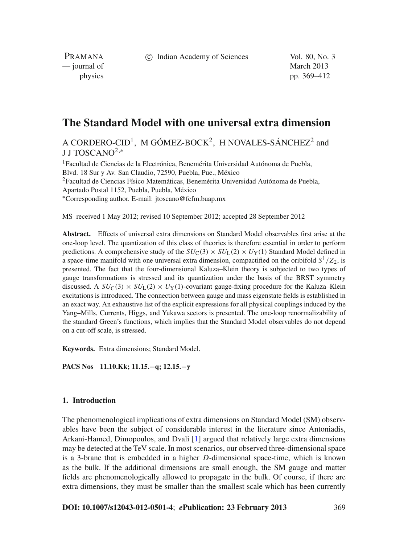c Indian Academy of Sciences Vol. 80, No. 3

PRAMANA — journal of March 2013

physics pp. 369–412

# **The Standard Model with one universal extra dimension**

A CORDERO-CID<sup>1</sup>, M GÓMEZ-BOCK<sup>2</sup>, H NOVALES-SÁNCHEZ<sup>2</sup> and J J TOSCANO<sup>2,\*</sup>

<sup>1</sup>Facultad de Ciencias de la Electrónica, Benemérita Universidad Autónoma de Puebla, Blvd. 18 Sur y Av. San Claudio, 72590, Puebla, Pue., México 2Facultad de Ciencias Físico Matemáticas, Benemérita Universidad Autónoma de Puebla, Apartado Postal 1152, Puebla, Puebla, México <sup>∗</sup>Corresponding author. E-mail: jtoscano@fcfm.buap.mx

MS received 1 May 2012; revised 10 September 2012; accepted 28 September 2012

**Abstract.** Effects of universal extra dimensions on Standard Model observables first arise at the one-loop level. The quantization of this class of theories is therefore essential in order to perform predictions. A comprehensive study of the  $SU_{C}(3) \times SU_{L}(2) \times U_{Y}(1)$  Standard Model defined in a space-time manifold with one universal extra dimension, compactified on the oribifold  $S^1/Z_2$ , is presented. The fact that the four-dimensional Kaluza–Klein theory is subjected to two types of gauge transformations is stressed and its quantization under the basis of the BRST symmetry discussed. A  $SU_{\rm C}(3) \times SU_{\rm L}(2) \times U_{\rm Y}(1)$ -covariant gauge-fixing procedure for the Kaluza–Klein excitations is introduced. The connection between gauge and mass eigenstate fields is established in an exact way. An exhaustive list of the explicit expressions for all physical couplings induced by the Yang–Mills, Currents, Higgs, and Yukawa sectors is presented. The one-loop renormalizability of the standard Green's functions, which implies that the Standard Model observables do not depend on a cut-off scale, is stressed.

**Keywords.** Extra dimensions; Standard Model.

**PACS Nos 11.10.Kk; 11.15.−q; 12.15.−y**

#### **1. Introduction**

The phenomenological implications of extra dimensions on Standard Model (SM) observables have been the subject of considerable interest in the literature since Antoniadis, Arkani-Hamed, Dimopoulos, and Dvali [\[1](#page-42-0)] argued that relatively large extra dimensions may be detected at the TeV scale. In most scenarios, our observed three-dimensional space is a 3-brane that is embedded in a higher *D*-dimensional space-time, which is known as the bulk. If the additional dimensions are small enough, the SM gauge and matter fields are phenomenologically allowed to propagate in the bulk. Of course, if there are extra dimensions, they must be smaller than the smallest scale which has been currently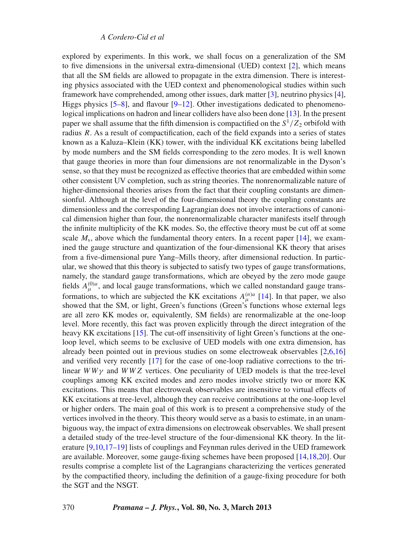explored by experiments. In this work, we shall focus on a generalization of the SM to five dimensions in the universal extra-dimensional (UED) context [\[2](#page-42-1)], which means that all the SM fields are allowed to propagate in the extra dimension. There is interesting physics associated with the UED context and phenomenological studies within such framework have comprehended, among other issues, dark matter [\[3](#page-42-2)], neutrino physics [\[4](#page-42-3)], Higgs physics  $[5-8]$  $[5-8]$ , and flavour  $[9-12]$  $[9-12]$ . Other investigations dedicated to phenomenological implications on hadron and linear colliders have also been done [\[13](#page-42-8)]. In the present paper we shall assume that the fifth dimension is compactified on the  $S^1/Z_2$  orbifold with radius *R*. As a result of compactification, each of the field expands into a series of states known as a Kaluza–Klein (KK) tower, with the individual KK excitations being labelled by mode numbers and the SM fields corresponding to the zero modes. It is well known that gauge theories in more than four dimensions are not renormalizable in the Dyson's sense, so that they must be recognized as effective theories that are embedded within some other consistent UV completion, such as string theories. The nonrenormalizable nature of higher-dimensional theories arises from the fact that their coupling constants are dimensionful. Although at the level of the four-dimensional theory the coupling constants are dimensionless and the corresponding Lagrangian does not involve interactions of canonical dimension higher than four, the nonrenormalizable character manifests itself through the infinite multiplicity of the KK modes. So, the effective theory must be cut off at some scale  $M_s$ , above which the fundamental theory enters. In a recent paper  $[14]$ , we examined the gauge structure and quantization of the four-dimensional KK theory that arises from a five-dimensional pure Yang–Mills theory, after dimensional reduction. In particular, we showed that this theory is subjected to satisfy two types of gauge transformations, namely, the standard gauge transformations, which are obeyed by the zero mode gauge fields  $A_{\mu}^{(0)a}$ , and local gauge transformations, which we called nonstandard gauge transformations, to which are subjected the KK excitations  $A_{\mu}^{(n)a}$  [\[14](#page-43-0)]. In that paper, we also showed that the SM, or light, Green's functions (Green's functions whose external legs are all zero KK modes or, equivalently, SM fields) are renormalizable at the one-loop level. More recently, this fact was proven explicitly through the direct integration of the heavy KK excitations [\[15\]](#page-43-1). The cut-off insensitivity of light Green's functions at the oneloop level, which seems to be exclusive of UED models with one extra dimension, has already been pointed out in previous studies on some electroweak observables [\[2](#page-42-1)[,6](#page-42-9)[,16\]](#page-43-2) and verified very recently [\[17](#page-43-3)] for the case of one-loop radiative corrections to the trilinear  $WW\gamma$  and  $WWZ$  vertices. One peculiarity of UED models is that the tree-level couplings among KK excited modes and zero modes involve strictly two or more KK excitations. This means that electroweak observables are insensitive to virtual effects of KK excitations at tree-level, although they can receive contributions at the one-loop level or higher orders. The main goal of this work is to present a comprehensive study of the vertices involved in the theory. This theory would serve as a basis to estimate, in an unambiguous way, the impact of extra dimensions on electroweak observables. We shall present a detailed study of the tree-level structure of the four-dimensional KK theory. In the literature [\[9](#page-42-6)[,10](#page-42-10)[,17](#page-43-3)[–19](#page-43-4)] lists of couplings and Feynman rules derived in the UED framework are available. Moreover, some gauge-fixing schemes have been proposed [\[14](#page-43-0)[,18](#page-43-5)[,20\]](#page-43-6). Our results comprise a complete list of the Lagrangians characterizing the vertices generated by the compactified theory, including the definition of a gauge-fixing procedure for both the SGT and the NSGT.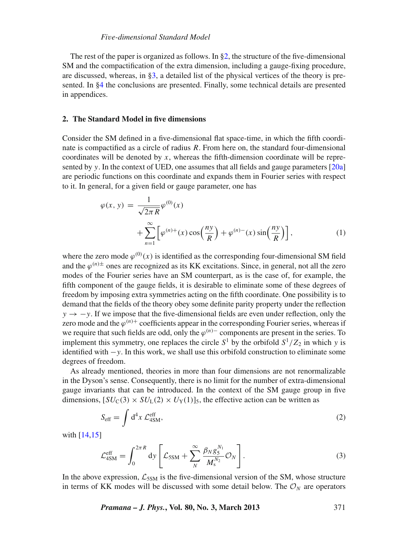The rest of the paper is organized as follows. In [§2,](#page-2-0) the structure of the five-dimensional SM and the compactification of the extra dimension, including a gauge-fixing procedure, are discussed, whereas, in  $\S$ 3, a detailed list of the physical vertices of the theory is presented. In [§4](#page-34-0) the conclusions are presented. Finally, some technical details are presented in appendices.

# <span id="page-2-0"></span>**2. The Standard Model in five dimensions**

Consider the SM defined in a five-dimensional flat space-time, in which the fifth coordinate is compactified as a circle of radius *R*. From here on, the standard four-dimensional coordinates will be denoted by *x*, whereas the fifth-dimension coordinate will be represented by *y*. In the context of UED, one assumes that all fields and gauge parameters [\[20a\]](#page-43-7) are periodic functions on this coordinate and expands them in Fourier series with respect to it. In general, for a given field or gauge parameter, one has

$$
\varphi(x, y) = \frac{1}{\sqrt{2\pi R}} \varphi^{(0)}(x)
$$
  
+ 
$$
\sum_{n=1}^{\infty} \left[ \varphi^{(n)+}(x) \cos\left(\frac{ny}{R}\right) + \varphi^{(n)-}(x) \sin\left(\frac{ny}{R}\right) \right],
$$
 (1)

where the zero mode  $\varphi^{(0)}(x)$  is identified as the corresponding four-dimensional SM field and the  $\varphi^{(n)\pm}$  ones are recognized as its KK excitations. Since, in general, not all the zero modes of the Fourier series have an SM counterpart, as is the case of, for example, the fifth component of the gauge fields, it is desirable to eliminate some of these degrees of freedom by imposing extra symmetries acting on the fifth coordinate. One possibility is to demand that the fields of the theory obey some definite parity property under the reflection *y* → −*y*. If we impose that the five-dimensional fields are even under reflection, only the zero mode and the  $\varphi^{(n)}$  coefficients appear in the corresponding Fourier series, whereas if we require that such fields are odd, only the  $\varphi^{(n)}$  components are present in the series. To implement this symmetry, one replaces the circle  $S^1$  by the orbifold  $S^1/Z_2$  in which *y* is identified with −*y*. In this work, we shall use this orbifold construction to eliminate some degrees of freedom.

As already mentioned, theories in more than four dimensions are not renormalizable in the Dyson's sense. Consequently, there is no limit for the number of extra-dimensional gauge invariants that can be introduced. In the context of the SM gauge group in five dimensions,  $[SU_C(3) \times SU_L(2) \times U_Y(1)]_5$ , the effective action can be written as

$$
S_{\rm eff} = \int d^4x \, \mathcal{L}_{4\rm SM}^{\rm eff},\tag{2}
$$

with [\[14](#page-43-0)[,15\]](#page-43-1)

$$
\mathcal{L}_{4\text{SM}}^{\text{eff}} = \int_0^{2\pi R} dy \left[ \mathcal{L}_{5\text{SM}} + \sum_N^{\infty} \frac{\beta_N g_S^{N_1}}{M_s^{N_2}} \mathcal{O}_N \right]. \tag{3}
$$

In the above expression,  $\mathcal{L}_{5SM}$  is the five-dimensional version of the SM, whose structure in terms of KK modes will be discussed with some detail below. The  $\mathcal{O}_N$  are operators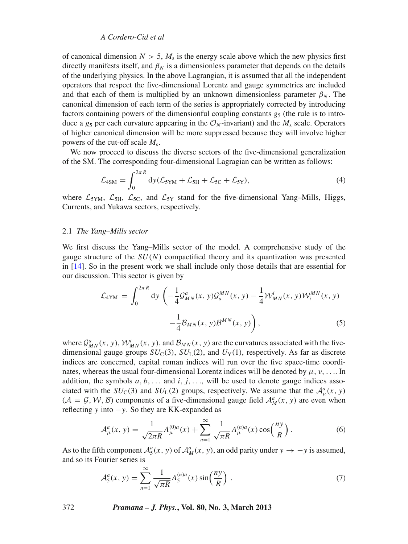of canonical dimension  $N > 5$ ,  $M_s$  is the energy scale above which the new physics first directly manifests itself, and  $\beta_N$  is a dimensionless parameter that depends on the details of the underlying physics. In the above Lagrangian, it is assumed that all the independent operators that respect the five-dimensional Lorentz and gauge symmetries are included and that each of them is multiplied by an unknown dimensionless parameter  $\beta_N$ . The canonical dimension of each term of the series is appropriately corrected by introducing factors containing powers of the dimensionful coupling constants  $g_5$  (the rule is to introduce a  $g_5$  per each curvature appearing in the  $\mathcal{O}_N$ -invariant) and the  $M_s$  scale. Operators of higher canonical dimension will be more suppressed because they will involve higher powers of the cut-off scale *M*s.

We now proceed to discuss the diverse sectors of the five-dimensional generalization of the SM. The corresponding four-dimensional Lagragian can be written as follows:

$$
\mathcal{L}_{4SM} = \int_0^{2\pi R} dy (\mathcal{L}_{5YM} + \mathcal{L}_{5H} + \mathcal{L}_{5C} + \mathcal{L}_{5Y}), \tag{4}
$$

where  $\mathcal{L}_{5YM}$ ,  $\mathcal{L}_{5H}$ ,  $\mathcal{L}_{5C}$ , and  $\mathcal{L}_{5Y}$  stand for the five-dimensional Yang–Mills, Higgs, Currents, and Yukawa sectors, respectively.

#### 2.1 *The Yang–Mills sector*

We first discuss the Yang–Mills sector of the model. A comprehensive study of the gauge structure of the *SU*(*N*) compactified theory and its quantization was presented in [\[14](#page-43-0)]. So in the present work we shall include only those details that are essential for our discussion. This sector is given by

<span id="page-3-0"></span>
$$
\mathcal{L}_{4YM} = \int_0^{2\pi R} dy \left( -\frac{1}{4} \mathcal{G}_{MN}^a(x, y) \mathcal{G}_a^{MN}(x, y) - \frac{1}{4} \mathcal{W}_{MN}^i(x, y) \mathcal{W}_i^{MN}(x, y) - \frac{1}{4} \mathcal{B}_{MN}(x, y) \mathcal{B}^{MN}(x, y) \right),
$$
\n(5)

where  $\mathcal{G}_{MN}^a(x, y)$ ,  $\mathcal{W}_{MN}^i(x, y)$ , and  $\mathcal{B}_{MN}(x, y)$  are the curvatures associated with the fivedimensional gauge groups  $SU_{C}(3)$ ,  $SU_{L}(2)$ , and  $U_{Y}(1)$ , respectively. As far as discrete indices are concerned, capital roman indices will run over the five space-time coordinates, whereas the usual four-dimensional Lorentz indices will be denoted by  $\mu$ ,  $\nu$ , .... In addition, the symbols  $a, b, \ldots$  and  $i, j, \ldots$ , will be used to denote gauge indices associated with the  $SU_{\text{C}}(3)$  and  $SU_{\text{L}}(2)$  groups, respectively. We assume that the  $\mathcal{A}^a_\mu(x, y)$  $(A = G, W, B)$  components of a five-dimensional gauge field  $\mathcal{A}_{M}^{a}(x, y)$  are even when reflecting *y* into −*y*. So they are KK-expanded as

$$
\mathcal{A}^{a}_{\mu}(x, y) = \frac{1}{\sqrt{2\pi R}} A^{(0)a}_{\mu}(x) + \sum_{n=1}^{\infty} \frac{1}{\sqrt{\pi R}} A^{(n)a}_{\mu}(x) \cos\left(\frac{ny}{R}\right).
$$
 (6)

As to the fifth component  $\mathcal{A}_{5}^{a}(x, y)$  of  $\mathcal{A}_{M}^{a}(x, y)$ , an odd parity under  $y \to -y$  is assumed, and so its Fourier series is

$$
\mathcal{A}_5^a(x, y) = \sum_{n=1}^{\infty} \frac{1}{\sqrt{\pi R}} A_5^{(n)a}(x) \sin\left(\frac{ny}{R}\right).
$$
 (7)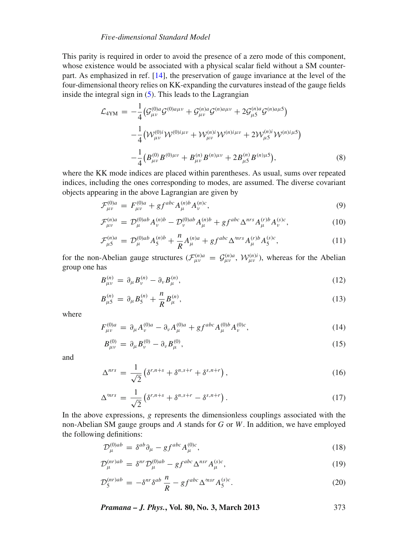This parity is required in order to avoid the presence of a zero mode of this component, whose existence would be associated with a physical scalar field without a SM counterpart. As emphasized in ref. [\[14\]](#page-43-0), the preservation of gauge invariance at the level of the four-dimensional theory relies on KK-expanding the curvatures instead of the gauge fields inside the integral sign in  $(5)$ . This leads to the Lagrangian

$$
\mathcal{L}_{4YM} = -\frac{1}{4} \left( \mathcal{G}_{\mu\nu}^{(0)a} \mathcal{G}^{(0)a\mu\nu} + \mathcal{G}_{\mu\nu}^{(n)a} \mathcal{G}^{(n)a\mu\nu} + 2 \mathcal{G}_{\mu 5}^{(n)a} \mathcal{G}^{(n)a\mu 5} \right) \n- \frac{1}{4} \left( \mathcal{W}_{\mu\nu}^{(0)i} \mathcal{W}^{(0)i\mu\nu} + \mathcal{W}_{\mu\nu}^{(n)i} \mathcal{W}^{(n)i\mu\nu} + 2 \mathcal{W}_{\mu 5}^{(n)i} \mathcal{W}^{(n)i\mu 5} \right) \n- \frac{1}{4} \left( B_{\mu\nu}^{(0)} B^{(0)\mu\nu} + B_{\mu\nu}^{(n)} B^{(n)\mu\nu} + 2 B_{\mu 5}^{(n)} B^{(n)\mu 5} \right),
$$
\n(8)

where the KK mode indices are placed within parentheses. As usual, sums over repeated indices, including the ones corresponding to modes, are assumed. The diverse covariant objects appearing in the above Lagrangian are given by

$$
\mathcal{F}^{(0)a}_{\mu\nu} = F^{(0)a}_{\mu\nu} + gf^{abc} A^{(n)b}_{\mu} A^{(n)c}_{\nu}, \tag{9}
$$

$$
\mathcal{F}^{(n)a}_{\mu\nu} = \mathcal{D}^{(0)ab}_{\mu} A^{(n)b}_{\nu} - \mathcal{D}^{(0)ab}_{\nu} A^{(n)b}_{\mu} + gf^{abc} \Delta^{nrs} A^{(r)b}_{\mu} A^{(s)c}_{\nu}, \qquad (10)
$$

$$
\mathcal{F}_{\mu 5}^{(n)a} = \mathcal{D}_{\mu}^{(0)ab} A_{5}^{(n)b} + \frac{n}{R} A_{\mu}^{(n)a} + gf^{abc} \Delta^{\prime nrs} A_{\mu}^{(r)b} A_{5}^{(s)c}, \qquad (11)
$$

for the non-Abelian gauge structures  $(\mathcal{F}_{\mu\nu}^{(n)a} = \mathcal{G}_{\mu\nu}^{(n)a}, \mathcal{W}_{\mu\nu}^{(n)i}$ , whereas for the Abelian group one has

$$
B_{\mu\nu}^{(n)} = \partial_{\mu} B_{\nu}^{(n)} - \partial_{\nu} B_{\mu}^{(n)}, \tag{12}
$$

$$
B_{\mu 5}^{(n)} = \partial_{\mu} B_{5}^{(n)} + \frac{n}{R} B_{\mu}^{(n)}, \qquad (13)
$$

where

$$
F_{\mu\nu}^{(0)a} = \partial_{\mu}A_{\nu}^{(0)a} - \partial_{\nu}A_{\mu}^{(0)a} + gf^{abc}A_{\mu}^{(0)b}A_{\nu}^{(0)c}, \qquad (14)
$$

$$
B_{\mu\nu}^{(0)} = \partial_{\mu} B_{\nu}^{(0)} - \partial_{\nu} B_{\mu}^{(0)}, \tag{15}
$$

and

$$
\Delta^{nrs} = \frac{1}{\sqrt{2}} \left( \delta^{r,n+s} + \delta^{n,s+r} + \delta^{s,n+r} \right),\tag{16}
$$

$$
\Delta^{mrs} = \frac{1}{\sqrt{2}} \left( \delta^{r,n+s} + \delta^{n,s+r} - \delta^{s,n+r} \right). \tag{17}
$$

In the above expressions, *g* represents the dimensionless couplings associated with the non-Abelian SM gauge groups and *A* stands for *G* or *W*. In addition, we have employed the following definitions:

$$
\mathcal{D}_{\mu}^{(0)ab} = \delta^{ab}\partial_{\mu} - gf^{abc}A_{\mu}^{(0)c},\tag{18}
$$

$$
\mathcal{D}_{\mu}^{(nr)ab} = \delta^{nr} \mathcal{D}_{\mu}^{(0)ab} - gf^{abc} \Delta^{nsr} A_{\mu}^{(s)c},\tag{19}
$$

$$
\mathcal{D}_5^{(nr)ab} = -\delta^{nr}\delta^{ab}\frac{n}{R} - gf^{abc}\Delta^{msr}A_5^{(s)c}.
$$
\n(20)

*Pramana – J. Phys.***, Vol. 80, No. 3, March 2013** 373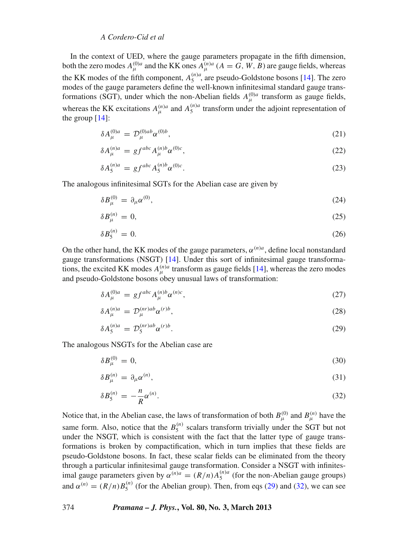In the context of UED, where the gauge parameters propagate in the fifth dimension, both the zero modes  $A_{\mu}^{(0)a}$  and the KK ones  $A_{\mu}^{(n)a}$  ( $A = G, W, B$ ) are gauge fields, whereas the KK modes of the fifth component,  $A_5^{(n)a}$ , are pseudo-Goldstone bosons [\[14\]](#page-43-0). The zero modes of the gauge parameters define the well-known infinitesimal standard gauge transformations (SGT), under which the non-Abelian fields  $A_{\mu}^{(0)a}$  transform as gauge fields, whereas the KK excitations  $A_{\mu}^{(n)a}$  and  $A_{5}^{(n)a}$  transform under the adjoint representation of the group [\[14\]](#page-43-0):

$$
\delta A_{\mu}^{(0)a} = \mathcal{D}_{\mu}^{(0)ab} \alpha^{(0)b}, \tag{21}
$$

$$
\delta A_{\mu}^{(n)a} = gf^{abc} A_{\mu}^{(n)b} \alpha^{(0)c},\tag{22}
$$

$$
\delta A_5^{(n)a} = gf^{abc} A_5^{(n)b} \alpha^{(0)c}.
$$
 (23)

The analogous infinitesimal SGTs for the Abelian case are given by

$$
\delta B_{\mu}^{(0)} = \partial_{\mu} \alpha^{(0)},\tag{24}
$$

$$
\delta B_{\mu}^{(n)} = 0,\tag{25}
$$

$$
\delta B_5^{(n)} = 0. \t\t(26)
$$

On the other hand, the KK modes of the gauge parameters,  $\alpha^{(n)a}$ , define local nonstandard gauge transformations (NSGT) [\[14](#page-43-0)]. Under this sort of infinitesimal gauge transformations, the excited KK modes  $A_{\mu}^{(n)a}$  transform as gauge fields [\[14\]](#page-43-0), whereas the zero modes and pseudo-Goldstone bosons obey unusual laws of transformation:

<span id="page-5-0"></span>
$$
\delta A_{\mu}^{(0)a} = gf^{abc} A_{\mu}^{(n)b} \alpha^{(n)c},\tag{27}
$$

$$
\delta A_{\mu}^{(n)a} = \mathcal{D}_{\mu}^{(nr)ab} \alpha^{(r)b},\tag{28}
$$

$$
\delta A_5^{(n)a} = \mathcal{D}_5^{(nr)ab} \alpha^{(r)b}.
$$
 (29)

The analogous NSGTs for the Abelian case are

<span id="page-5-1"></span>
$$
\delta B_{\mu}^{(0)} = 0,\tag{30}
$$

$$
\delta B_{\mu}^{(n)} = \partial_{\mu} \alpha^{(n)},\tag{31}
$$

$$
\delta B_5^{(n)} = -\frac{n}{R} \alpha^{(n)}.\tag{32}
$$

Notice that, in the Abelian case, the laws of transformation of both  $B_{\mu}^{(0)}$  and  $B_{\mu}^{(n)}$  have the same form. Also, notice that the  $B_5^{(n)}$  scalars transform trivially under the SGT but not under the NSGT, which is consistent with the fact that the latter type of gauge transformations is broken by compactification, which in turn implies that these fields are pseudo-Goldstone bosons. In fact, these scalar fields can be eliminated from the theory through a particular infinitesimal gauge transformation. Consider a NSGT with infinitesimal gauge parameters given by  $\alpha^{(n)a} = (R/n)A_5^{(n)a}$  (for the non-Abelian gauge groups) and  $\alpha^{(n)} = (R/n)B_5^{(n)}$  (for the Abelian group). Then, from eqs [\(29\)](#page-5-0) and [\(32\)](#page-5-1), we can see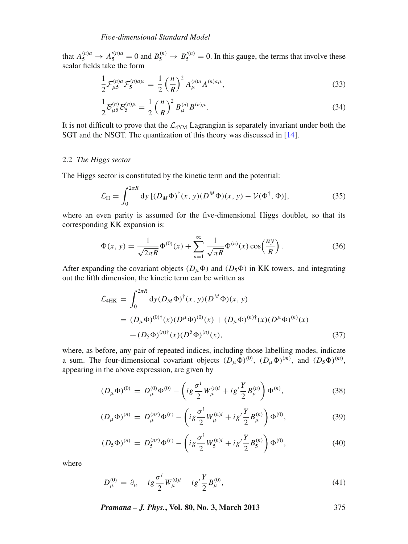that  $A_5^{(n)a} \to A_5'^{(n)a} = 0$  and  $B_5^{(n)} \to B_5'^{(n)} = 0$ . In this gauge, the terms that involve these scalar fields take the form

$$
\frac{1}{2}\mathcal{F}^{(n)a}_{\mu 5}\mathcal{F}^{(n)a\mu}_{5} = \frac{1}{2}\left(\frac{n}{R}\right)^2 A^{(n)a}_{\mu}A^{(n)a\mu},\tag{33}
$$

$$
\frac{1}{2} \mathcal{B}_{\mu 5}^{(n)} \mathcal{B}_5^{(n)\mu} = \frac{1}{2} \left(\frac{n}{R}\right)^2 B_{\mu}^{(n)} B^{(n)\mu}.
$$
\n(34)

It is not difficult to prove that the  $\mathcal{L}_{4YM}$  Lagrangian is separately invariant under both the SGT and the NSGT. The quantization of this theory was discussed in [\[14](#page-43-0)].

### 2.2 *The Higgs sector*

The Higgs sector is constituted by the kinetic term and the potential:

$$
\mathcal{L}_{\mathrm{H}} = \int_0^{2\pi R} dy \, [(D_M \Phi)^{\dagger}(x, y)(D^M \Phi)(x, y) - \mathcal{V}(\Phi^{\dagger}, \Phi)], \tag{35}
$$

where an even parity is assumed for the five-dimensional Higgs doublet, so that its corresponding KK expansion is:

$$
\Phi(x, y) = \frac{1}{\sqrt{2\pi R}} \Phi^{(0)}(x) + \sum_{n=1}^{\infty} \frac{1}{\sqrt{\pi R}} \Phi^{(n)}(x) \cos\left(\frac{ny}{R}\right).
$$
 (36)

After expanding the covariant objects  $(D_{\mu}\Phi)$  and  $(D_5\Phi)$  in KK towers, and integrating out the fifth dimension, the kinetic term can be written as

$$
\mathcal{L}_{4HK} = \int_0^{2\pi R} dy (D_M \Phi)^{\dagger}(x, y) (D^M \Phi)(x, y)
$$
  
=  $(D_\mu \Phi)^{(0)\dagger}(x) (D^\mu \Phi)^{(0)}(x) + (D_\mu \Phi)^{(n)\dagger}(x) (D^\mu \Phi)^{(n)}(x)$   
+  $(D_5 \Phi)^{(n)\dagger}(x) (D^5 \Phi)^{(n)}(x),$  (37)

where, as before, any pair of repeated indices, including those labelling modes, indicate a sum. The four-dimensional covariant objects  $(D_\mu \Phi)^{(0)}$ ,  $(D_\mu \Phi)^{(m)}$ , and  $(D_5 \Phi)^{(m)}$ , appearing in the above expression, are given by

$$
(D_{\mu}\Phi)^{(0)} = D_{\mu}^{(0)}\Phi^{(0)} - \left(ig\frac{\sigma^i}{2}W_{\mu}^{(n)i} + ig'\frac{Y}{2}B_{\mu}^{(n)}\right)\Phi^{(n)},\tag{38}
$$

$$
(D_{\mu}\Phi)^{(n)} = D_{\mu}^{(nr)}\Phi^{(r)} - \left(ig\frac{\sigma^i}{2}W_{\mu}^{(n)i} + ig'\frac{Y}{2}B_{\mu}^{(n)}\right)\Phi^{(0)},\tag{39}
$$

$$
(D_5 \Phi)^{(n)} = D_5^{(nr)} \Phi^{(r)} - \left( i g \frac{\sigma^i}{2} W_5^{(n)i} + i g' \frac{Y}{2} B_5^{(n)} \right) \Phi^{(0)},\tag{40}
$$

where

$$
D_{\mu}^{(0)} = \partial_{\mu} - ig \frac{\sigma^{i}}{2} W_{\mu}^{(0)i} - ig' \frac{Y}{2} B_{\mu}^{(0)}, \qquad (41)
$$

*Pramana – J. Phys.***, Vol. 80, No. 3, March 2013** 375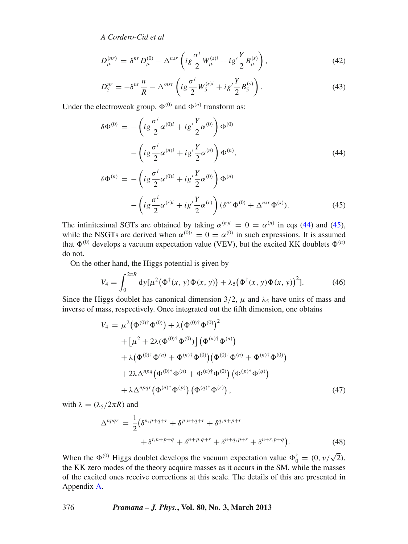$$
D_{\mu}^{(nr)} = \delta^{nr} D_{\mu}^{(0)} - \Delta^{nsr} \left( i g \frac{\sigma^i}{2} W_{\mu}^{(s)i} + i g' \frac{Y}{2} B_{\mu}^{(s)} \right), \tag{42}
$$

$$
D_5^{nr} = -\delta^{nr} \frac{n}{R} - \Delta^{msr} \left( i g \frac{\sigma^i}{2} W_5^{(s)i} + i g' \frac{Y}{2} B_5^{(s)} \right). \tag{43}
$$

Under the electroweak group,  $\Phi^{(0)}$  and  $\Phi^{(n)}$  transform as:

<span id="page-7-0"></span>
$$
\delta \Phi^{(0)} = -\left( i g \frac{\sigma^i}{2} \alpha^{(0)i} + i g' \frac{Y}{2} \alpha^{(0)} \right) \Phi^{(0)}
$$

$$
- \left( i g \frac{\sigma^i}{2} \alpha^{(n)i} + i g' \frac{Y}{2} \alpha^{(n)} \right) \Phi^{(n)},
$$
(44)

$$
\delta \Phi^{(n)} = -\left( i g \frac{\sigma^i}{2} \alpha^{(0)i} + i g' \frac{Y}{2} \alpha^{(0)} \right) \Phi^{(n)} -\left( i g \frac{\sigma^i}{2} \alpha^{(r)i} + i g' \frac{Y}{2} \alpha^{(r)} \right) (\delta^{nr} \Phi^{(0)} + \Delta^{nsr} \Phi^{(s)}).
$$
(45)

The infinitesimal SGTs are obtained by taking  $\alpha^{(n)i} = 0 = \alpha^{(n)}$  in eqs [\(44\)](#page-7-0) and [\(45\)](#page-7-0), while the NSGTs are derived when  $\alpha^{(0)i} = 0 = \alpha^{(0)}$  in such expressions. It is assumed that  $\Phi^{(0)}$  develops a vacuum expectation value (VEV), but the excited KK doublets  $\Phi^{(n)}$ do not.

On the other hand, the Higgs potential is given by

$$
V_4 = \int_0^{2\pi R} dy [\mu^2 (\Phi^{\dagger}(x, y) \Phi(x, y)) + \lambda_5 (\Phi^{\dagger}(x, y) \Phi(x, y))^{2}].
$$
 (46)

Since the Higgs doublet has canonical dimension  $3/2$ ,  $\mu$  and  $\lambda_5$  have units of mass and inverse of mass, respectively. Once integrated out the fifth dimension, one obtains

$$
V_4 = \mu^2 (\Phi^{(0)\dagger} \Phi^{(0)}) + \lambda (\Phi^{(0)\dagger} \Phi^{(0)})^2 + [\mu^2 + 2\lambda (\Phi^{(0)\dagger} \Phi^{(0)})] (\Phi^{(n)\dagger} \Phi^{(n)}) + \lambda (\Phi^{(0)\dagger} \Phi^{(n)} + \Phi^{(n)\dagger} \Phi^{(0)}) (\Phi^{(0)\dagger} \Phi^{(n)} + \Phi^{(n)\dagger} \Phi^{(0)}) + 2\lambda \Delta^{npq} (\Phi^{(0)\dagger} \Phi^{(n)} + \Phi^{(n)\dagger} \Phi^{(0)}) (\Phi^{(p)\dagger} \Phi^{(q)}) + \lambda \Delta^{npqr} (\Phi^{(n)\dagger} \Phi^{(p)}) (\Phi^{(q)\dagger} \Phi^{(r)}),
$$
(47)

with  $\lambda = (\lambda_5/2\pi R)$  and

$$
\Delta^{npqr} = \frac{1}{2} \left( \delta^{n,p+q+r} + \delta^{p,n+q+r} + \delta^{q,n+p+r} + \delta^{q,n+p+r} + \delta^{n+q,p+r} + \delta^{n+r,p+q} \right).
$$
\n(48)

When the  $\Phi^{(0)}$  Higgs doublet develops the vacuum expectation value  $\Phi_0^{\dagger} = (0, v/\sqrt{2})$ , the KK zero modes of the theory acquire masses as it occurs in the SM, while the masses of the excited ones receive corrections at this scale. The details of this are presented in Appendix [A.](#page-35-0)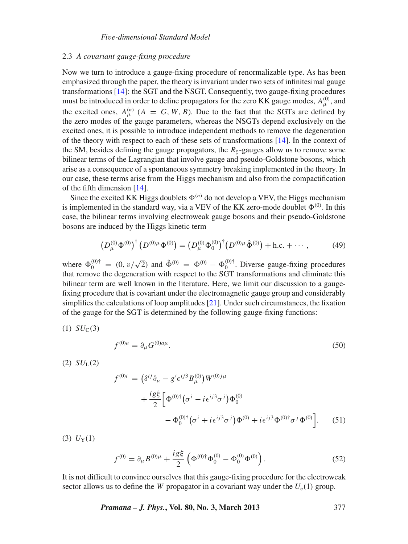#### 2.3 *A co*v*ariant gauge-fixing procedure*

Now we turn to introduce a gauge-fixing procedure of renormalizable type. As has been emphasized through the paper, the theory is invariant under two sets of infinitesimal gauge transformations [\[14\]](#page-43-0): the SGT and the NSGT. Consequently, two gauge-fixing procedures must be introduced in order to define propagators for the zero KK gauge modes,  $A^{(0)}_{\mu}$ , and the excited ones,  $A_{\mu}^{(n)}$  ( $A = G, W, B$ ). Due to the fact that the SGTs are defined by the zero modes of the gauge parameters, whereas the NSGTs depend exclusively on the excited ones, it is possible to introduce independent methods to remove the degeneration of the theory with respect to each of these sets of transformations  $[14]$  $[14]$ . In the context of the SM, besides defining the gauge propagators, the  $R_{\xi}$ -gauges allow us to remove some bilinear terms of the Lagrangian that involve gauge and pseudo-Goldstone bosons, which arise as a consequence of a spontaneous symmetry breaking implemented in the theory. In our case, these terms arise from the Higgs mechanism and also from the compactification of the fifth dimension [\[14\]](#page-43-0).

Since the excited KK Higgs doublets  $\Phi^{(n)}$  do not develop a VEV, the Higgs mechanism is implemented in the standard way, via a VEV of the KK zero-mode doublet  $\Phi^{(0)}$ . In this case, the bilinear terms involving electroweak gauge bosons and their pseudo-Goldstone bosons are induced by the Higgs kinetic term

$$
\left(D_{\mu}^{(0)}\Phi^{(0)}\right)^{\dagger}\left(D^{(0)\mu}\Phi^{(0)}\right) = \left(D_{\mu}^{(0)}\Phi_{0}^{(0)}\right)^{\dagger}\left(D^{(0)\mu}\hat{\Phi}^{(0)}\right) + \text{h.c.} + \cdots,\tag{49}
$$

where  $\Phi_0^{(0)\dagger} = (0, v/\sqrt{2})$  and  $\hat{\Phi}^{(0)} = \Phi^{(0)} - \Phi_0^{(0)\dagger}$ . Diverse gauge-fixing procedures that remove the degeneration with respect to the SGT transformations and eliminate this bilinear term are well known in the literature. Here, we limit our discussion to a gaugefixing procedure that is covariant under the electromagnetic gauge group and considerably simplifies the calculations of loop amplitudes [\[21\]](#page-43-8). Under such circumstances, the fixation of the gauge for the SGT is determined by the following gauge-fixing functions:

$$
(1) SUC(3)
$$

$$
f^{(0)a} = \partial_{\mu} G^{(0)a\mu}.
$$
\n(50)

 $(2) SU<sub>L</sub>(2)$ 

$$
f^{(0)i} = (\delta^{ij}\partial_{\mu} - g' \epsilon^{ij} B^{(0)}_{\mu}) W^{(0)j\mu} + \frac{i g \xi}{2} \Big[ \Phi^{(0)\dagger} (\sigma^i - i \epsilon^{ij3} \sigma^j) \Phi^{(0)}_0 - \Phi^{(0)\dagger}_0 (\sigma^i + i \epsilon^{ij3} \sigma^j) \Phi^{(0)} + i \epsilon^{ij3} \Phi^{(0)\dagger} \sigma^j \Phi^{(0)} \Big].
$$
 (51)

 $(3) U_Y(1)$ 

$$
f^{(0)} = \partial_{\mu} B^{(0)\mu} + \frac{ig\xi}{2} \left( \Phi^{(0)\dagger} \Phi_0^{(0)} - \Phi_0^{(0)} \Phi^{(0)} \right). \tag{52}
$$

It is not difficult to convince ourselves that this gauge-fixing procedure for the electroweak sector allows us to define the *W* propagator in a covariant way under the  $U_e(1)$  group.

*Pramana – J. Phys.***, Vol. 80, No. 3, March 2013** 377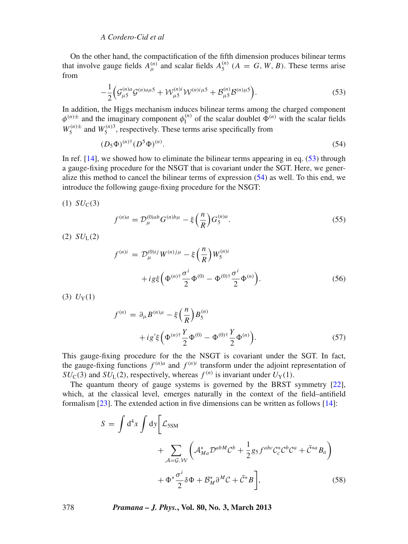<span id="page-9-0"></span>On the other hand, the compactification of the fifth dimension produces bilinear terms that involve gauge fields  $A_{\mu}^{(n)}$  and scalar fields  $A_{5}^{(n)}$  ( $A = G, W, B$ ). These terms arise from

$$
-\frac{1}{2}\Big(\mathcal{G}_{\mu5}^{(n)a}\mathcal{G}^{(n)a\mu5} + \mathcal{W}_{\mu5}^{(n)i}\mathcal{W}^{(n)i\mu5} + \mathcal{B}_{\mu5}^{(n)}\mathcal{B}^{(n)\mu5}\Big). \tag{53}
$$

In addition, the Higgs mechanism induces bilinear terms among the charged component  $\phi^{(n)}$  and the imaginary component  $\phi^{(n)}_I$  of the scalar doublet  $\Phi^{(n)}$  with the scalar fields  $W_5^{(n)\pm}$  and  $W_5^{(n)3}$ , respectively. These terms arise specifically from

<span id="page-9-1"></span>
$$
(D_5\Phi)^{(n)\dagger}(D^5\Phi)^{(n)}.\tag{54}
$$

In ref. [\[14](#page-43-0)], we showed how to eliminate the bilinear terms appearing in eq. [\(53\)](#page-9-0) through a gauge-fixing procedure for the NSGT that is covariant under the SGT. Here, we generalize this method to cancel the bilinear terms of expression [\(54\)](#page-9-1) as well. To this end, we introduce the following gauge-fixing procedure for the NSGT:

$$
(1) SUC(3)
$$

$$
f^{(n)a} = \mathcal{D}_{\mu}^{(0)ab} G^{(n)b\mu} - \xi \left(\frac{n}{R}\right) G_5^{(n)a}.
$$
 (55)

 $(2) SU<sub>L</sub>(2)$ 

$$
f^{(n)i} = \mathcal{D}_{\mu}^{(0)ij} W^{(n)j\mu} - \xi \left(\frac{n}{R}\right) W_5^{(n)i} + ig\xi \left(\Phi^{(n)\dagger} \frac{\sigma^i}{2} \Phi^{(0)} - \Phi^{(0)\dagger} \frac{\sigma^i}{2} \Phi^{(n)}\right).
$$
 (56)

 $(3) U_Y(1)$ 

$$
f^{(n)} = \partial_{\mu} B^{(n)\mu} - \xi \left(\frac{n}{R}\right) B_5^{(n)} + ig' \xi \left(\Phi^{(n)\dagger} \frac{Y}{2} \Phi^{(0)} - \Phi^{(0)\dagger} \frac{Y}{2} \Phi^{(n)}\right).
$$
 (57)

This gauge-fixing procedure for the the NSGT is covariant under the SGT. In fact, the gauge-fixing functions  $f^{(n)a}$  and  $f^{(n)i}$  transform under the adjoint representation of  $SU_{\rm C}(3)$  and  $SU_{\rm L}(2)$ , respectively, whereas  $f^{(n)}$  is invariant under  $U_{\rm Y}(1)$ .

The quantum theory of gauge systems is governed by the BRST symmetry [\[22](#page-43-9)], which, at the classical level, emerges naturally in the context of the field–antifield formalism [\[23\]](#page-43-10). The extended action in five dimensions can be written as follows [\[14](#page-43-0)]:

$$
S = \int d^4x \int dy \bigg[ \mathcal{L}_{5SM} + \sum_{\mathcal{A}=\mathcal{G}, \mathcal{W}} \left( \mathcal{A}_{Ma}^* \mathcal{D}^{abM} \mathcal{C}^b + \frac{1}{2} g_5 f^{abc} \mathcal{C}_c^* \mathcal{C}^b \mathcal{C}^a + \bar{\mathcal{C}}^{*a} B_a \right) + \Phi^* \frac{\sigma^i}{2} \delta \Phi + \mathcal{B}_M^* \partial^M \mathcal{C} + \bar{\mathcal{C}}^* B \bigg],
$$
(58)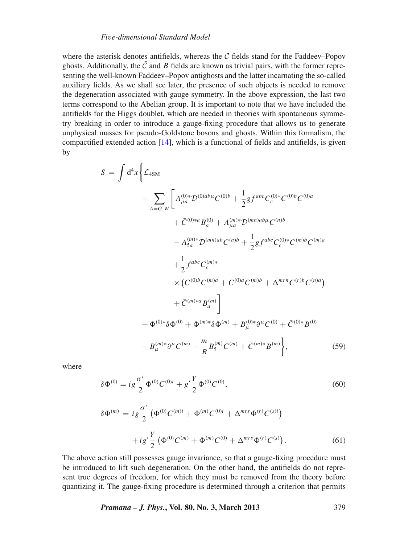where the asterisk denotes antifields, whereas the  $C$  fields stand for the Faddeev–Popov ghosts. Additionally, the  $\overline{C}$  and *B* fields are known as trivial pairs, with the former representing the well-known Faddeev–Popov antighosts and the latter incarnating the so-called auxiliary fields. As we shall see later, the presence of such objects is needed to remove the degeneration associated with gauge symmetry. In the above expression, the last two terms correspond to the Abelian group. It is important to note that we have included the antifields for the Higgs doublet, which are needed in theories with spontaneous symmetry breaking in order to introduce a gauge-fixing procedure that allows us to generate unphysical masses for pseudo-Goldstone bosons and ghosts. Within this formalism, the compactified extended action [\[14](#page-43-0)], which is a functional of fields and antifields, is given by

$$
= \int d^{4}x \left\{ \mathcal{L}_{4SM} \right.\n+ \sum_{A=G,W} \left[ A_{\mu a}^{(0)*} \mathcal{D}^{(0)a b \mu} C^{(0)b} + \frac{1}{2} g f^{abc} C_{c}^{(0)*} C^{(0)b} C^{(0)a} \right.\n+ \bar{C}^{(0)*a} B_{a}^{(0)} + A_{\mu a}^{(m)*} \mathcal{D}^{(mn)a b \mu} C^{(n)b} \n- A_{5a}^{(m)*} \mathcal{D}^{(mn)a b} C^{(n)b} + \frac{1}{2} g f^{abc} C_{c}^{(0)*} C^{(m)b} C^{(m)a} \right.\n+ \frac{1}{2} f^{abc} C_{c}^{(m)*} \n\times (C^{(0)b} C^{(m)a} + C^{(0)a} C^{(m)b} + \Delta^{mrn} C^{(r)b} C^{(n)a}) \n+ \bar{C}^{(m)*a} B_{a}^{(m)} \right]\n+ \Phi^{(0)*} \delta \Phi^{(0)} + \Phi^{(m)*} \delta \Phi^{(m)} + B_{\mu}^{(0)*} \partial^{\mu} C^{(0)} + \bar{C}^{(0)*} B^{(0)} \n+ B_{\mu}^{(m)*} \partial^{\mu} C^{(m)} - \frac{m}{R} B_{5}^{(m)} C^{(m)} + \bar{C}^{(m)*} B^{(m)} \right\},
$$
\n(59)

where

*S* =

$$
\delta \Phi^{(0)} = ig \frac{\sigma^i}{2} \Phi^{(0)} C^{(0)i} + g' \frac{Y}{2} \Phi^{(0)} C^{(0)}, \tag{60}
$$

$$
\delta \Phi^{(m)} = i g \frac{\sigma^i}{2} \left( \Phi^{(0)} C^{(m)i} + \Phi^{(m)} C^{(0)i} + \Delta^{mrs} \Phi^{(r)} C^{(s)i} \right) + i g' \frac{Y}{2} \left( \Phi^{(0)} C^{(m)} + \Phi^{(m)} C^{(0)} + \Delta^{mrs} \Phi^{(r)} C^{(s)} \right).
$$
(61)

The above action still possesses gauge invariance, so that a gauge-fixing procedure must be introduced to lift such degeneration. On the other hand, the antifields do not represent true degrees of freedom, for which they must be removed from the theory before quantizing it. The gauge-fixing procedure is determined through a criterion that permits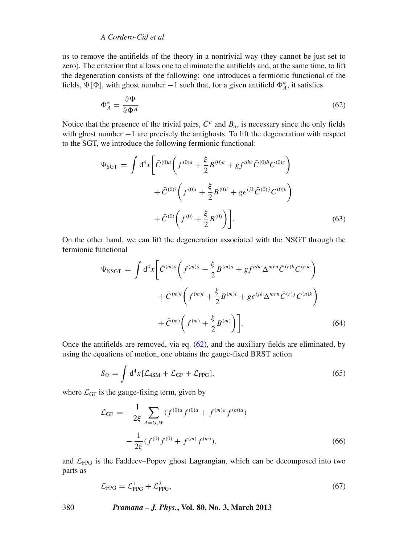us to remove the antifields of the theory in a nontrivial way (they cannot be just set to zero). The criterion that allows one to eliminate the antifields and, at the same time, to lift the degeneration consists of the following: one introduces a fermionic functional of the fields,  $\Psi[\Phi]$ , with ghost number  $-1$  such that, for a given antifield  $\Phi_A^*$ , it satisfies

<span id="page-11-0"></span>
$$
\Phi_A^* = \frac{\partial \Psi}{\partial \Phi^A}.
$$
\n(62)

Notice that the presence of the trivial pairs,  $\bar{C}^a$  and  $B_a$ , is necessary since the only fields with ghost number −1 are precisely the antighosts. To lift the degeneration with respect to the SGT, we introduce the following fermionic functional:

$$
\Psi_{\text{SGT}} = \int d^4x \left[ \bar{C}^{(0)a} \left( f^{(0)a} + \frac{\xi}{2} B^{(0)a} + gf^{abc} \bar{C}^{(0)b} C^{(0)c} \right) \right. \left. + \bar{C}^{(0)i} \left( f^{(0)i} + \frac{\xi}{2} B^{(0)i} + g \epsilon^{ijk} \bar{C}^{(0)j} C^{(0)k} \right) \right. \left. + \bar{C}^{(0)} \left( f^{(0)} + \frac{\xi}{2} B^{(0)} \right) \right].
$$
\n(63)

On the other hand, we can lift the degeneration associated with the NSGT through the fermionic functional

$$
\Psi_{\text{NSGT}} = \int d^4x \left[ \bar{C}^{(m)a} \left( f^{(m)a} + \frac{\xi}{2} B^{(m)a} + gf^{abc} \Delta^{mrn} \bar{C}^{(r)b} C^{(n)c} \right) \right. \left. + \bar{C}^{(m)i} \left( f^{(m)i} + \frac{\xi}{2} B^{(m)i} + g \epsilon^{ijk} \Delta^{mrn} \bar{C}^{(r)j} C^{(n)k} \right) \right. \left. + \bar{C}^{(m)} \left( f^{(m)} + \frac{\xi}{2} B^{(m)} \right) \right].
$$
\n(64)

Once the antifields are removed, via eq.  $(62)$ , and the auxiliary fields are eliminated, by using the equations of motion, one obtains the gauge-fixed BRST action

$$
S_{\Psi} = \int d^4x [\mathcal{L}_{4SM} + \mathcal{L}_{GF} + \mathcal{L}_{FPG}], \qquad (65)
$$

where  $\mathcal{L}_{GF}$  is the gauge-fixing term, given by

$$
\mathcal{L}_{GF} = -\frac{1}{2\xi} \sum_{A=G,W} (f^{(0)a} f^{(0)a} + f^{(m)a} f^{(m)a}) - \frac{1}{2\xi} (f^{(0)} f^{(0)} + f^{(m)} f^{(m)}),
$$
\n(66)

and  $\mathcal{L}_{\text{FPG}}$  is the Faddeev–Popov ghost Lagrangian, which can be decomposed into two parts as

$$
\mathcal{L}_{\text{FPG}} = \mathcal{L}_{\text{FPG}}^1 + \mathcal{L}_{\text{FPG}}^2,\tag{67}
$$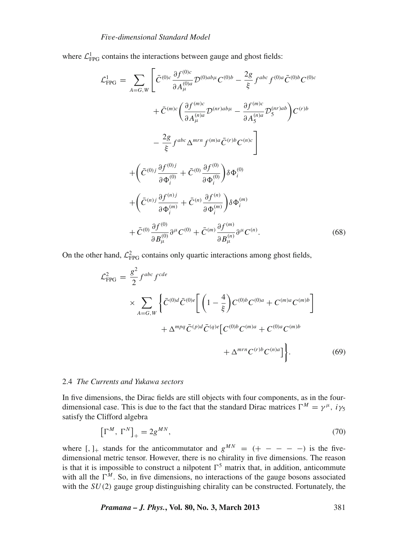where  $\mathcal{L}_{\text{FPG}}^1$  contains the interactions between gauge and ghost fields:

$$
\mathcal{L}_{\text{FPG}}^{1} = \sum_{A=G,W} \left[ \bar{C}^{(0)c} \frac{\partial f^{(0)c}}{\partial A_{\mu}^{(0)a}} \mathcal{D}^{(0)ab\mu} C^{(0)b} - \frac{2g}{\xi} f^{abc} f^{(0)a} \bar{C}^{(0)b} C^{(0)c} \right. \left. + \bar{C}^{(m)c} \left( \frac{\partial f^{(m)c}}{\partial A_{\mu}^{(n)a}} \mathcal{D}^{(nr)ab\mu} - \frac{\partial f^{(m)c}}{\partial A_{5}^{(n)a}} \mathcal{D}_{5}^{(nr)ab} \right) C^{(r)b} \right. \left. - \frac{2g}{\xi} f^{abc} \Delta^{mrn} f^{(m)a} \bar{C}^{(r)b} C^{(n)c} \right] \left. + \left( \bar{C}^{(0)j} \frac{\partial f^{(0)j}}{\partial \Phi_{i}^{(0)}} + \bar{C}^{(0)} \frac{\partial f^{(0)}}{\partial \Phi_{i}^{(0)}} \right) \delta \Phi_{i}^{(0)} \right. \left. + \left( \bar{C}^{(n)j} \frac{\partial f^{(n)j}}{\partial \Phi_{i}^{(m)}} + \bar{C}^{(n)} \frac{\partial f^{(n)}}{\partial \Phi_{i}^{(m)}} \right) \delta \Phi_{i}^{(m)} \right. \left. + \bar{C}^{(0)} \frac{\partial f^{(0)}}{\partial B_{\mu}^{(0)}} \partial^{\mu} C^{(0)} + \bar{C}^{(m)} \frac{\partial f^{(m)}}{\partial B_{\mu}^{(n)}} \partial^{\mu} C^{(n)} \right. \tag{68}
$$

On the other hand,  $\mathcal{L}_{\text{FPG}}^2$  contains only quartic interactions among ghost fields,

$$
\mathcal{L}_{\text{FPG}}^2 = \frac{g^2}{2} f^{abc} f^{cde}
$$
\n
$$
\times \sum_{A=G,W} \left\{ \bar{C}^{(0)d} \bar{C}^{(0)e} \left[ \left( 1 - \frac{4}{\xi} \right) C^{(0)b} C^{(0)a} + C^{(m)a} C^{(m)b} \right] + \Delta^{mpq} \bar{C}^{(p)d} \bar{C}^{(q)e} \left[ C^{(0)b} C^{(m)a} + C^{(0)a} C^{(m)b} + \Delta^{mrn} C^{(r)b} C^{(n)a} \right] \right\}. \tag{69}
$$

#### 2.4 *The Currents and Yukawa sectors*

In five dimensions, the Dirac fields are still objects with four components, as in the fourdimensional case. This is due to the fact that the standard Dirac matrices  $\Gamma^M = \gamma^{\mu}$ ,  $i\gamma_5$ satisfy the Clifford algebra

$$
\left[\Gamma^M, \Gamma^N\right]_+ = 2g^{MN},\tag{70}
$$

where  $[ , ]_{+}$  stands for the anticommutator and  $g^{MN} = (+ - - - -)$  is the fivedimensional metric tensor. However, there is no chirality in five dimensions. The reason is that it is impossible to construct a nilpotent  $\Gamma^5$  matrix that, in addition, anticommute with all the  $\Gamma^M$ . So, in five dimensions, no interactions of the gauge bosons associated with the *SU*(2) gauge group distinguishing chirality can be constructed. Fortunately, the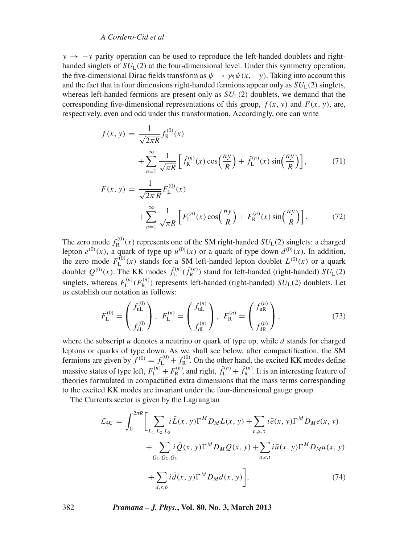*y* → −*y* parity operation can be used to reproduce the left-handed doublets and righthanded singlets of  $SU<sub>1</sub>(2)$  at the four-dimensional level. Under this symmetry operation, the five-dimensional Dirac fields transform as  $\psi \to \gamma_5 \psi(x, -y)$ . Taking into account this and the fact that in four dimensions right-handed fermions appear only as  $SU<sub>L</sub>(2)$  singlets, whereas left-handed fermions are present only as  $SU<sub>L</sub>(2)$  doublets, we demand that the corresponding five-dimensional representations of this group,  $f(x, y)$  and  $F(x, y)$ , are, respectively, even and odd under this transformation. Accordingly, one can write

$$
f(x, y) = \frac{1}{\sqrt{2\pi R}} f_{R}^{(0)}(x)
$$
  
+ 
$$
\sum_{n=1}^{\infty} \frac{1}{\sqrt{\pi R}} \left[ \hat{f}_{R}^{(n)}(x) \cos\left(\frac{ny}{R}\right) + \hat{f}_{L}^{(n)}(x) \sin\left(\frac{ny}{R}\right) \right],
$$
(71)

$$
F(x, y) = \frac{1}{\sqrt{2\pi R}} F_{L}^{(0)}(x)
$$
  
+ 
$$
\sum_{n=1}^{\infty} \frac{1}{\sqrt{\pi R}} \left[ F_{L}^{(n)}(x) \cos\left(\frac{ny}{R}\right) + F_{R}^{(n)}(x) \sin\left(\frac{ny}{R}\right) \right].
$$
 (72)

The zero mode  $f_{\rm R}^{(0)}(x)$  represents one of the SM right-handed  $SU_{\rm L}(2)$  singlets: a charged lepton  $e^{(0)}(x)$ , a quark of type up  $u^{(0)}(x)$  or a quark of type down  $d^{(0)}(x)$ . In addition, the zero mode  $F_L^{(0)}(x)$  stands for a SM left-handed lepton doublet  $L^{(0)}(x)$  or a quark doublet  $Q^{(0)}(x)$ . The KK modes  $\hat{f}_{\text{L}}^{(n)}(\hat{f}_{\text{R}}^{(n)})$  stand for left-handed (right-handed)  $SU_{\text{L}}(2)$ singlets, whereas  $F_{\text{L}}^{(n)}(F_{\text{R}}^{(n)})$  represents left-handed (right-handed)  $SU_{\text{L}}(2)$  doublets. Let us establish our notation as follows:

$$
F_{\mathcal{L}}^{(0)} = \begin{pmatrix} f_{\mathbf{u}\mathcal{L}}^{(0)} \\ f_{\mathbf{d}\mathcal{L}}^{(0)} \end{pmatrix}, \ F_{\mathcal{L}}^{(n)} = \begin{pmatrix} f_{\mathbf{u}\mathcal{L}}^{(n)} \\ f_{\mathbf{d}\mathcal{L}}^{(n)} \end{pmatrix}, \ F_{\mathcal{R}}^{(n)} = \begin{pmatrix} f_{\mathbf{u}\mathcal{R}}^{(n)} \\ f_{\mathbf{d}\mathcal{R}}^{(n)} \end{pmatrix}, \tag{73}
$$

where the subscript *u* denotes a neutrino or quark of type up, while *d* stands for charged leptons or quarks of type down. As we shall see below, after compactification, the SM fermions are given by  $f^{(0)} = f_L^{(0)} + f_R^{(0)}$ . On the other hand, the excited KK modes define massive states of type left,  $F_L^{(n)} + F_R^{(n)}$ , and right,  $\hat{f}_L^{(n)} + \hat{f}_R^{(n)}$ . It is an interesting feature of theories formulated in compactified extra dimensions that the mass terms corresponding to the excited KK modes are invariant under the four-dimensional gauge group.

The Currents sector is given by the Lagrangian

$$
\mathcal{L}_{4C} = \int_{0}^{2\pi R} \Biggl[ \sum_{L_{1},L_{2},L_{3}} i\bar{L}(x,y)\Gamma^{M}D_{M}L(x,y) + \sum_{e,\mu,\tau} i\bar{e}(x,y)\Gamma^{M}D_{M}e(x,y) + \sum_{Q_{1},Q_{2},Q_{3}} i\bar{Q}(x,y)\Gamma^{M}D_{M}Q(x,y) + \sum_{u,c,t} i\bar{u}(x,y)\Gamma^{M}D_{M}u(x,y) + \sum_{d,s,b} i\bar{d}(x,y)\Gamma^{M}D_{M}d(x,y) \Biggr],
$$
\n(74)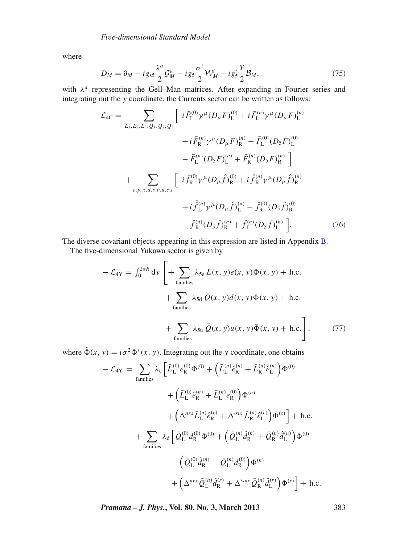where

$$
D_M = \partial_M - ig_{ss} \frac{\lambda^a}{2} \mathcal{G}_M^a - ig_s \frac{\sigma^i}{2} \mathcal{W}_M^i - ig_s' \frac{Y}{2} \mathcal{B}_M,\tag{75}
$$

with λ*<sup>a</sup>* representing the Gell–Man matrices. After expanding in Fourier series and integrating out the *y* coordinate, the Currents sector can be written as follows:

<span id="page-14-0"></span>
$$
\mathcal{L}_{4C} = \sum_{L_1, L_2, L_3, Q_1, Q_2, Q_3} \left[ i \bar{F}_{L}^{(0)} \gamma^{\mu} (D_{\mu} F)_{L}^{(0)} + i \bar{F}_{L}^{(n)} \gamma^{\mu} (D_{\mu} F)_{L}^{(n)} \right. \\
\left. + i \bar{F}_{R}^{(n)} \gamma^{\mu} (D_{\mu} F)_{R}^{(n)} - \bar{F}_{L}^{(0)} (D_{5} F)_{L}^{(0)} \right. \\
\left. - \bar{F}_{L}^{(n)} (D_{5} F)_{L}^{(n)} + \bar{F}_{R}^{(n)} (D_{5} F)_{R}^{(n)} \right] \\
+ \sum_{e, \mu, \tau, d, s, b, u, c, t} \left[ i \bar{f}_{R}^{(0)} \gamma^{\mu} (D_{\mu} \hat{f})_{R}^{(0)} + i \bar{f}_{R}^{(n)} \gamma^{\mu} (D_{\mu} \hat{f})_{R}^{(n)} \right. \\
\left. + i \bar{f}_{L}^{(n)} \gamma^{\mu} (D_{\mu} \hat{f})_{L}^{(n)} - \bar{f}_{R}^{(0)} (D_{5} \hat{f})_{R}^{(0)} \right. \\
\left. - \bar{f}_{R}^{(n)} (D_{5} \hat{f})_{R}^{(n)} + \bar{f}_{L}^{(n)} (D_{5} \hat{f})_{L}^{(n)} \right].\n\tag{76}
$$

The diverse covariant objects appearing in this expression are listed in Appendix [B.](#page-37-0)

The five-dimensional Yukawa sector is given by

$$
-\mathcal{L}_{4Y} = \int_0^{2\pi R} dy \left[ + \sum_{\text{families}} \lambda_{5e} \bar{L}(x, y) e(x, y) \Phi(x, y) + \text{h.c.} \right]
$$

$$
+ \sum_{\text{families}} \lambda_{5d} \bar{Q}(x, y) d(x, y) \Phi(x, y) + \text{h.c.}
$$

$$
+ \sum_{\text{families}} \lambda_{5u} \bar{Q}(x, y) u(x, y) \tilde{\Phi}(x, y) + \text{h.c.} \right], \tag{77}
$$

where  $\tilde{\Phi}(x, y) = i\sigma^2 \Phi^*(x, y)$ . Integrating out the *y* coordinate, one obtains

$$
-\mathcal{L}_{4Y} = \sum_{\text{families}} \lambda_{e} \left[ \bar{L}_{L}^{(0)} e_{R}^{(0)} \Phi^{(0)} + \left( \bar{L}_{L}^{(n)} \hat{e}_{R}^{(n)} + \bar{L}_{R}^{(n)} \hat{e}_{L}^{(n)} \right) \Phi^{(0)} \right. \\
\left. + \left( \bar{L}_{L}^{(0)} \hat{e}_{R}^{(n)} + \bar{L}_{L}^{(n)} e_{R}^{(0)} \right) \Phi^{(n)} \right. \\
\left. + \left( \Delta^{nrs} \bar{L}_{L}^{(n)} \hat{e}_{R}^{(r)} + \Delta'^{snr} \bar{L}_{R}^{(n)} \hat{e}_{L}^{(r)} \right) \Phi^{(s)} \right] + \text{ h.c.} \\
+ \sum_{\text{families}} \lambda_{d} \left[ \bar{Q}_{L}^{(0)} d_{R}^{(0)} \Phi^{(0)} + \left( \bar{Q}_{L}^{(n)} \hat{d}_{R}^{(n)} + \bar{Q}_{R}^{(n)} \hat{d}_{L}^{(n)} \right) \Phi^{(0)} \right. \\
\left. + \left( \bar{Q}_{L}^{(0)} \hat{d}_{R}^{(n)} + \bar{Q}_{L}^{(n)} d_{R}^{(0)} \right) \Phi^{(n)} \right. \\
\left. + \left( \Delta^{nrs} \bar{Q}_{L}^{(n)} \hat{d}_{R}^{(r)} + \Delta'^{snr} \bar{Q}_{R}^{(n)} \hat{d}_{L}^{(r)} \right) \Phi^{(s)} \right] + \text{ h.c.}
$$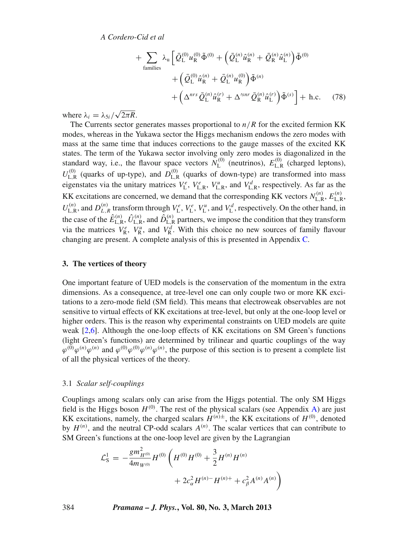+ 
$$
\sum_{\text{families}} \lambda_{\mathbf{u}} \left[ \bar{Q}_{\mathbf{L}}^{(0)} u_{\mathbf{R}}^{(0)} \tilde{\Phi}^{(0)} + \left( \bar{Q}_{\mathbf{L}}^{(n)} \hat{u}_{\mathbf{R}}^{(n)} + \bar{Q}_{\mathbf{R}}^{(n)} \hat{u}_{\mathbf{L}}^{(n)} \right) \tilde{\Phi}^{(0)} \right. \\
\left. + \left( \bar{Q}_{\mathbf{L}}^{(0)} \hat{u}_{\mathbf{R}}^{(n)} + \bar{Q}_{\mathbf{L}}^{(0)} u_{\mathbf{R}}^{(0)} \right) \tilde{\Phi}^{(n)} \right. \\
\left. + \left( \Delta^{nrs} \bar{Q}_{\mathbf{L}}^{(n)} \hat{u}_{\mathbf{R}}^{(r)} + \Delta'^{snr} \bar{Q}_{\mathbf{R}}^{(n)} \hat{u}_{\mathbf{L}}^{(r)} \right) \tilde{\Phi}^{(s)} \right] + \text{ h.c.} \tag{78}
$$

where  $\lambda_i = \lambda_{5i}/\sqrt{2\pi R}$ .

The Currents sector generates masses proportional to  $n/R$  for the excited fermion KK modes, whereas in the Yukawa sector the Higgs mechanism endows the zero modes with mass at the same time that induces corrections to the gauge masses of the excited KK states. The term of the Yukawa sector involving only zero modes is diagonalized in the standard way, i.e., the flavour space vectors  $N_{\text{L}}^{(0)}$  (neutrinos),  $E_{\text{L,R}}^{(0)}$  (charged leptons),  $U_{\text{L,R}}^{(0)}$  (quarks of up-type), and  $D_{\text{L,R}}^{(0)}$  (quarks of down-type) are transformed into mass eigenstates via the unitary matrices  $V_L^e$ ,  $V_{L,R}^e$ ,  $V_{L,R}^u$ , and  $V_{L,R}^d$ , respectively. As far as the KK excitations are concerned, we demand that the corresponding KK vectors  $N_{\text{L,R}}^{(n)}$ ,  $E_{\text{L,R}}^{(n)}$ ,  $U_{\text{L},\text{R}}^{(n)}$ , and  $D_{\text{L},\text{R}}^{(n)}$  transform through  $V_{\text{L}}^{e}$ ,  $V_{\text{L}}^{e}$ ,  $V_{\text{L}}^{u}$ , and  $V_{\text{L}}^{d}$ , respectively. On the other hand, in the case of the  $\hat{E}_{\rm L,R}^{(n)}$ ,  $\hat{U}_{\rm L,R}^{(n)}$ , and  $\hat{D}_{\rm L,R}^{(n)}$  partners, we impose the condition that they transform via the matrices  $V_R^e$ ,  $V_R^u$ , and  $V_R^d$ . With this choice no new sources of family flavour changing are present. A complete analysis of this is presented in Appendix [C.](#page-39-0)

#### <span id="page-15-0"></span>**3. The vertices of theory**

One important feature of UED models is the conservation of the momentum in the extra dimensions. As a consequence, at tree-level one can only couple two or more KK excitations to a zero-mode field (SM field). This means that electroweak observables are not sensitive to virtual effects of KK excitations at tree-level, but only at the one-loop level or higher orders. This is the reason why experimental constraints on UED models are quite weak [\[2](#page-42-1)[,6](#page-42-9)]. Although the one-loop effects of KK excitations on SM Green's functions (light Green's functions) are determined by trilinear and quartic couplings of the way  $\varphi^{(0)}\varphi^{(n)}\varphi^{(n)}$  and  $\varphi^{(0)}\varphi^{(0)}\varphi^{(n)}$ , the purpose of this section is to present a complete list of all the physical vertices of the theory.

#### 3.1 *Scalar self-couplings*

Couplings among scalars only can arise from the Higgs potential. The only SM Higgs field is the Higgs boson  $H^{(0)}$ . The rest of the physical scalars (see Appendix [A\)](#page-35-0) are just KK excitations, namely, the charged scalars  $H^{(n)\pm}$ , the KK excitations of  $H^{(0)}$ , denoted by  $H^{(n)}$ , and the neutral CP-odd scalars  $A^{(n)}$ . The scalar vertices that can contribute to SM Green's functions at the one-loop level are given by the Lagrangian

$$
\mathcal{L}_\text{S}^1 = -\frac{g m_{H^{(0)}}^2}{4m_{W^{(0)}}} H^{(0)} \left( H^{(0)} H^{(0)} + \frac{3}{2} H^{(n)} H^{(n)} + 2c_\alpha^2 H^{(n)} - H^{(n)+} + c_\beta^2 A^{(n)} A^{(n)} \right)
$$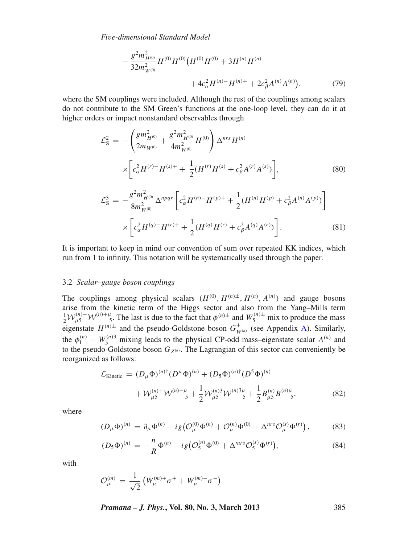$$
-\frac{g^2 m_{H^{(0)}}^2}{32 m_{W^{(0)}}^2} H^{(0)} H^{(0)} (H^{(0)} H^{(0)} + 3 H^{(n)} H^{(n)} + 4c_\alpha^2 H^{(n)-} H^{(n)+} + 2c_\beta^2 A^{(n)} A^{(n)}),\tag{79}
$$

where the SM couplings were included. Although the rest of the couplings among scalars do not contribute to the SM Green's functions at the one-loop level, they can do it at higher orders or impact nonstandard observables through

$$
\mathcal{L}_{\rm S}^2 = -\left(\frac{gm_{H^{(0)}}^2}{2m_{W^{(0)}}} + \frac{g^2 m_{H^{(0)}}^2}{4m_{W^{(0)}}^2} H^{(0)}\right) \Delta^{nrs} H^{(n)}\n\times \left[c_{\alpha}^2 H^{(r)} - H^{(s)+} + \frac{1}{2} (H^{(r)} H^{(s)} + c_{\beta}^2 A^{(r)} A^{(s)})\right],
$$
\n(80)\n
$$
\mathcal{L}_{\rm S}^3 = -\frac{g^2 m_{H^{(0)}}^2}{8m_{W^{(0)}}^2} \Delta^{npqr} \left[c_{\alpha}^2 H^{(n)} - H^{(p)+} + \frac{1}{2} (H^{(n)} H^{(p)} + c_{\beta}^2 A^{(n)} A^{(p)})\right]\n\times \left[c_{\alpha}^2 H^{(q)} - H^{(r)+} + \frac{1}{2} (H^{(q)} H^{(r)} + c_{\beta}^2 A^{(q)} A^{(r)})\right].
$$
\n(81)

It is important to keep in mind our convention of sum over repeated KK indices, which run from 1 to infinity. This notation will be systematically used through the paper.

#### 3.2 *Scalar–gauge boson couplings*

The couplings among physical scalars  $(H^{(0)}, H^{(n)\pm}, H^{(n)}, A^{(n)})$  and gauge bosons arise from the kinetic term of the Higgs sector and also from the Yang–Mills term  $\frac{1}{2}W_{\mu 5}^{(n)-}W_{\mu 5}^{(n)+\mu}$ . The last is due to the fact that  $\phi^{(n)\pm}$  and  $W_{5}^{(n)\pm}$  mix to produce the mass eigenstate  $H^{(n)\pm}$  and the pseudo-Goldstone boson  $G_{W^{(n)}}^{\pm}$  (see Appendix [A\)](#page-35-0). Similarly, the  $\phi_I^{(n)} - W_S^{(n)3}$  mixing leads to the physical CP-odd mass–eigenstate scalar  $A^{(n)}$  and to the pseudo-Goldstone boson  $G_{Z^{(n)}}$ . The Lagrangian of this sector can conveniently be reorganized as follows:

<span id="page-16-0"></span>
$$
\mathcal{L}_{\text{Kinetic}} = (D_{\mu} \Phi)^{(n)\dagger} (D^{\mu} \Phi)^{(n)} + (D_5 \Phi)^{(n)\dagger} (D^5 \Phi)^{(n)} \n+ \mathcal{W}_{\mu 5}^{(n)+} \mathcal{W}^{(n)-\mu}_{\mu 5} + \frac{1}{2} \mathcal{W}_{\mu 5}^{(n)3} \mathcal{W}^{(n)3\mu}_{\mu 5} + \frac{1}{2} B_{\mu 5}^{(n)} B_{\mu 5}^{(n)\mu}_{\mu 5},
$$
\n(82)

where

$$
(D_{\mu}\Phi)^{(n)} = \partial_{\mu}\Phi^{(n)} - ig(\mathcal{O}_{\mu}^{(0)}\Phi^{(n)} + \mathcal{O}_{\mu}^{(n)}\Phi^{(0)} + \Delta^{nrs}\mathcal{O}_{\mu}^{(s)}\Phi^{(r)}),
$$
(83)

$$
(D_5\Phi)^{(n)} = -\frac{n}{R}\Phi^{(n)} - ig(\mathcal{O}_5^{(n)}\Phi^{(0)} + \Delta'^{nrs}\mathcal{O}_5^{(s)}\Phi^{(r)}),\tag{84}
$$

with

$$
\mathcal{O}_\mu^{(m)} \, = \, \frac{1}{\sqrt{2}} \, \big( W_\mu^{(m)+} \sigma^+ + W_\mu^{(m)-} \sigma^- \big)
$$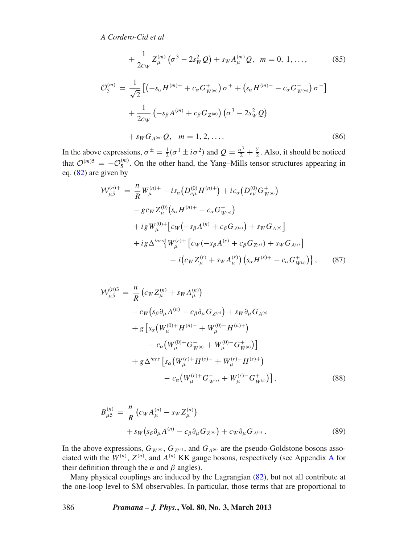$$
+\frac{1}{2c_W}Z_{\mu}^{(m)}\left(\sigma^3-2s_W^2Q\right)+s_WA_{\mu}^{(m)}Q, \ \ m=0, 1, \ldots, \tag{85}
$$

$$
\mathcal{O}_{5}^{(m)} = \frac{1}{\sqrt{2}} \left[ \left( -s_{\alpha} H^{(m)+} + c_{\alpha} G_{W^{(m)}}^{+} \right) \sigma^{+} + \left( s_{\alpha} H^{(m)-} - c_{\alpha} G_{W^{(m)}}^{-} \right) \sigma^{-} \right] + \frac{1}{2c_{W}} \left( -s_{\beta} A^{(m)} + c_{\beta} G_{Z^{(m)}} \right) \left( \sigma^{3} - 2s_{W}^{2} Q \right) + s_{W} G_{A^{(m)}} Q, \quad m = 1, 2, .... \tag{86}
$$

In the above expressions,  $\sigma^{\pm} = \frac{1}{2}(\sigma^1 \pm i \sigma^2)$  and  $Q = \frac{\sigma^3}{2} + \frac{Y}{2}$ . Also, it should be noticed that  $\mathcal{O}^{(m)5} = -\mathcal{O}_5^{(m)}$ . On the other hand, the Yang–Mills tensor structures appearing in eq. [\(82\)](#page-16-0) are given by

$$
\mathcal{W}_{\mu 5}^{(n)+} = \frac{n}{R} W_{\mu}^{(n)+} - i s_{\alpha} \left( D_{e\mu}^{(0)} H^{(n)+} \right) + i c_{\alpha} \left( D_{e\mu}^{(0)} G_{W^{(n)}}^+ \right) \n- g c_W Z_{\mu}^{(0)} \left( s_{\alpha} H^{(n)+} - c_{\alpha} G_{W^{(n)}}^+ \right) \n+ i g W_{\mu}^{(0)+} \left[ c_W \left( -s_{\beta} A^{(n)} + c_{\beta} G_{Z^{(n)}} \right) + s_W G_{A^{(n)}} \right] \n+ i g \Delta^{mrs} \left\{ W_{\mu}^{(r)+} \left[ c_W \left( -s_{\beta} A^{(s)} + c_{\beta} G_{Z^{(s)}} \right) + s_W G_{A^{(s)}} \right] \n- i \left( c_W Z_{\mu}^{(r)} + s_W A_{\mu}^{(r)} \right) \left( s_{\alpha} H^{(s)+} - c_{\alpha} G_{W^{(s)}}^+ \right) \right\}, \tag{87}
$$

$$
\mathcal{W}_{\mu 5}^{(n)3} = \frac{n}{R} \left( c_W Z_{\mu}^{(n)} + s_W A_{\mu}^{(n)} \right)
$$
  
-  $c_W \left( s_\beta \partial_\mu A^{(n)} - c_\beta \partial_\mu G_{Z^{(n)}} \right) + s_W \partial_\mu G_{A^{(n)}}$   
+  $g \left[ s_\alpha \left( W_{\mu}^{(0)+} H^{(n)-} + W_{\mu}^{(0)-} H^{(n)+} \right) \right]$   
-  $c_\alpha \left( W_{\mu}^{(0)+} G_{W^{(n)}}^- + W_{\mu}^{(0)-} G_{W^{(n)}}^+ \right) \right]$   
+  $g \Delta^{mrs} \left[ s_\alpha \left( W_{\mu}^{(r)+} H^{(s)-} + W_{\mu}^{(r)-} H^{(s)+} \right) \right]$   
-  $c_\alpha \left( W_{\mu}^{(r)+} G_{W^{(s)}}^- + W_{\mu}^{(r)-} G_{W^{(s)}}^+ \right) \right],$  (88)

$$
B_{\mu 5}^{(n)} = \frac{n}{R} \left( c_W A_{\mu}^{(n)} - s_W Z_{\mu}^{(n)} \right) + s_W \left( s_\beta \partial_\mu A^{(n)} - c_\beta \partial_\mu G_{Z^{(n)}} \right) + c_W \partial_\mu G_{A^{(n)}}.
$$
(89)

In the above expressions,  $G_{W^{(n)}}, G_{Z^{(n)}},$  and  $G_{A^{(n)}}$  are the pseudo-Goldstone bosons associated with the  $W^{(n)}$ ,  $Z^{(n)}$ , and  $A^{(n)}$  $A^{(n)}$  KK gauge bosons, respectively (see Appendix A for their definition through the  $\alpha$  and  $\beta$  angles).

Many physical couplings are induced by the Lagrangian [\(82\)](#page-16-0), but not all contribute at the one-loop level to SM observables. In particular, those terms that are proportional to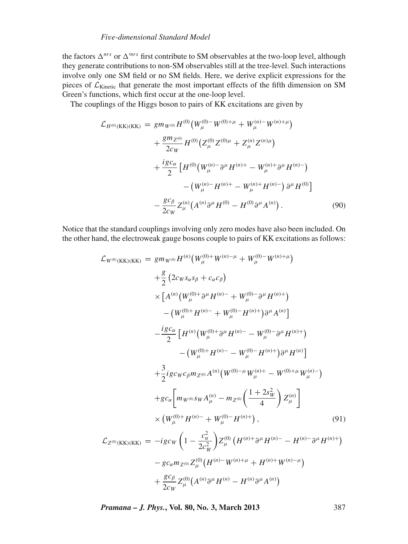the factors  $\Delta^{nrs}$  or  $\Delta^{mrs}$  first contribute to SM observables at the two-loop level, although they generate contributions to non-SM observables still at the tree-level. Such interactions involve only one SM field or no SM fields. Here, we derive explicit expressions for the pieces of  $\mathcal{L}_{\text{Kinetic}}$  that generate the most important effects of the fifth dimension on SM Green's functions, which first occur at the one-loop level.

The couplings of the Higgs boson to pairs of KK excitations are given by

$$
\mathcal{L}_{H^{(0)}(\text{KK})(\text{KK})} = g m_{W^{(0)}} H^{(0)} \left( W_{\mu}^{(0)-} W^{(0)+\mu} + W_{\mu}^{(n)-} W^{(n)+\mu} \right) \n+ \frac{g m_{Z^{(0)}}}{2c_W} H^{(0)} \left( Z_{\mu}^{(0)} Z^{(0)\mu} + Z_{\mu}^{(n)} Z^{(n)\mu} \right) \n+ \frac{i g c_{\alpha}}{2} \left[ H^{(0)} \left( W_{\mu}^{(n)-} \partial^{\mu} H^{(n)+} - W_{\mu}^{(n)+} \partial^{\mu} H^{(n)-} \right) \n- \left( W_{\mu}^{(n)-} H^{(n)+} - W_{\mu}^{(n)+} H^{(n)-} \right) \partial^{\mu} H^{(0)} \right] \n- \frac{g c_{\beta}}{2c_W} Z_{\mu}^{(n)} \left( A^{(n)} \partial^{\mu} H^{(0)} - H^{(0)} \partial^{\mu} A^{(n)} \right). \tag{90}
$$

Notice that the standard couplings involving only zero modes have also been included. On the other hand, the electroweak gauge bosons couple to pairs of KK excitations as follows:

$$
\mathcal{L}_{W^{(0)}(KK)(KK)} = g m_{W^{(0)}} H^{(n)} (W_{\mu}^{(0)+} W^{(n)-\mu} + W_{\mu}^{(0)-} W^{(n)+\mu})
$$
  
+ 
$$
\frac{g}{2} (2c_{W} s_{\alpha} s_{\beta} + c_{\alpha} c_{\beta})
$$
  

$$
\times [A^{(n)} (W_{\mu}^{(0)+} \partial^{\mu} H^{(n)-} + W_{\mu}^{(0)-} \partial^{\mu} H^{(n)+})
$$
  
- 
$$
(W_{\mu}^{(0)+} H^{(n)-} + W_{\mu}^{(0)-} H^{(n)+}) \partial^{\mu} A^{(n)}]
$$
  
- 
$$
\frac{i g c_{\alpha}}{2} [H^{(n)} (W_{\mu}^{(0)+} \partial^{\mu} H^{(n)-} - W_{\mu}^{(0)-} \partial^{\mu} H^{(n)+})
$$
  
- 
$$
(W_{\mu}^{(0)+} H^{(n)-} - W_{\mu}^{(0)-} H^{(n)+}) \partial^{\mu} H^{(n)}]
$$
  
+ 
$$
\frac{3}{2} i g c_{W} c_{\beta} m_{Z^{(0)}} A^{(n)} (W^{(0)-\mu} W_{\mu}^{(n)+} - W^{(0)+\mu} W_{\mu}^{(n)-})
$$
  
+ 
$$
g c_{\alpha} [m_{W^{(0)}} s_{W} A_{\mu}^{(n)} - m_{Z^{(0)}} (\frac{1+2s_{W}^{2}}{4}) Z_{\mu}^{(n)}]
$$
  

$$
\times (W_{\mu}^{(0)+} H^{(n)-} + W_{\mu}^{(0)-} H^{(n)+}), \qquad (91)
$$
  

$$
\mathcal{L}_{Z^{(0)}(KK)(KK)} = -i g c_{W} (1 - \frac{c_{\alpha}^{2}}{2c_{W}^{2}}) Z_{\mu}^{(0)} (H^{(n)+} \partial^{\mu} H^{(n)-} - H^{(n)-} \partial^{\mu} H^{(n)+})
$$
  
- 
$$
g c_{\alpha} m_{Z^{(0)}} Z_{\mu}^{(0)} (H^{(n)-} W^{(n)+\mu} + H^{(n)+} W^{(n)-\mu})
$$
  
+ 
$$
\frac{g c_{\beta}}{2 c_{W}} Z_{\mu}^{(0)}
$$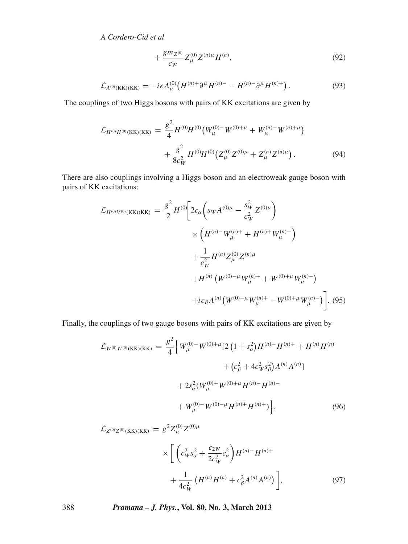$$
+\frac{gm_{Z^{(0)}}}{c_W}Z_{\mu}^{(0)}Z^{(n)\mu}H^{(n)},\tag{92}
$$

$$
\mathcal{L}_{A^{(0)}(KK)(KK)} = -ieA_{\mu}^{(0)}\left(H^{(n)+}\partial^{\mu}H^{(n)-} - H^{(n)-}\partial^{\mu}H^{(n)+}\right). \tag{93}
$$

The couplings of two Higgs bosons with pairs of KK excitations are given by

$$
\mathcal{L}_{H^{(0)}H^{(0)}(\text{KK})(\text{KK})} = \frac{g^2}{4} H^{(0)}H^{(0)}(W_{\mu}^{(0)-}W^{(0)+\mu} + W_{\mu}^{(n)-}W^{(n)+\mu}) + \frac{g^2}{8c_W^2} H^{(0)}H^{(0)}(Z_{\mu}^{(0)}Z^{(0)\mu} + Z_{\mu}^{(n)}Z^{(n)\mu}). \tag{94}
$$

There are also couplings involving a Higgs boson and an electroweak gauge boson with pairs of KK excitations:

$$
\mathcal{L}_{H^{(0)}V^{(0)}(\text{KK})(\text{KK})} = \frac{g^2}{2} H^{(0)} \bigg[ 2c_{\alpha} \bigg( s_W A^{(0)\mu} - \frac{s_W^2}{c_W^2} Z^{(0)\mu} \bigg) \times \bigg( H^{(n)-} W_{\mu}^{(n)+} + H^{(n)+} W_{\mu}^{(n)-} \bigg) + \frac{1}{c_W^2} H^{(n)} Z_{\mu}^{(0)} Z^{(n)\mu} + H^{(n)} \left( W^{(0)-\mu} W_{\mu}^{(n)+} + W^{(0)+\mu} W_{\mu}^{(n)-} \right) + i c_{\beta} A^{(n)} \bigg( W^{(0)-\mu} W_{\mu}^{(n)+} - W^{(0)+\mu} W_{\mu}^{(n)-} \bigg). \tag{95}
$$

Finally, the couplings of two gauge bosons with pairs of KK excitations are given by

$$
\mathcal{L}_{W^{(0)}W^{(0)}(\text{KK})(\text{KK})} = \frac{g^2}{4} \Big\{ W_{\mu}^{(0)-} W^{(0)+\mu} [2 \left( 1 + s_{\alpha}^2 \right) H^{(n)-} H^{(n)+} + H^{(n)} H^{(n)} + (c_{\beta}^2 + 4c_W^2 s_{\beta}^2) A^{(n)} A^{(n)}] + 2s_{\alpha}^2 (W_{\mu}^{(0)+} W^{(0)+\mu} H^{(n)-} H^{(n)-} + W_{\mu}^{(0)-} W^{(0)-\mu} H^{(n)+} H^{(n)+} \Big\}, \tag{96}
$$

$$
\mathcal{L}_{Z^{(0)}Z^{(0)}(KK)(KK)} = g^2 Z^{(0)}_{\mu} Z^{(0)\mu}
$$

$$
\times \left[ \left( c_W^2 s_\alpha^2 + \frac{c_{2W}}{2c_W^2} c_\alpha^2 \right) H^{(n)} - H^{(n)+} + \frac{1}{4c_W^2} \left( H^{(n)} H^{(n)} + c_\beta^2 A^{(n)} A^{(n)} \right) \right],
$$
\n(97)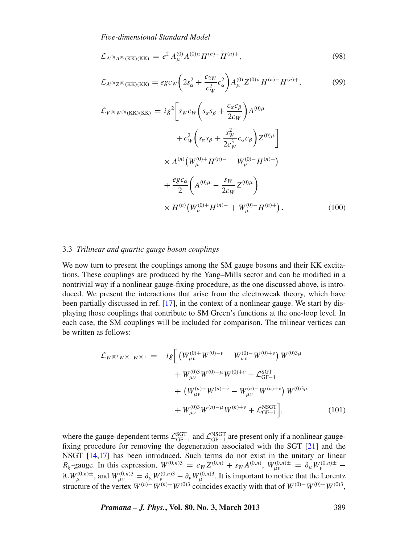$$
\mathcal{L}_{A^{(0)}A^{(0)}(\text{KK})(\text{KK})} = e^2 A^{(0)}_{\mu} A^{(0)\mu} H^{(n)-} H^{(n)+}, \tag{98}
$$

$$
\mathcal{L}_{A^{(0)}Z^{(0)}(\text{KK})(\text{KK})} = e g c_W \left( 2s_\alpha^2 + \frac{c_{2W}}{c_W^2} c_\alpha^2 \right) A_\mu^{(0)} Z^{(0)\mu} H^{(n)-} H^{(n)+},\tag{99}
$$

$$
\mathcal{L}_{V^{(0)}W^{(0)}(\text{KK})(\text{KK})} = ig^2 \bigg[ s_W c_W \bigg( s_\alpha s_\beta + \frac{c_\alpha c_\beta}{2c_W} \bigg) A^{(0)\mu} \n+ c_W^2 \bigg( s_\alpha s_\beta + \frac{s_W^2}{2c_W^3} c_\alpha c_\beta \bigg) Z^{(0)\mu} \bigg] \n\times A^{(n)} \big( W_\mu^{(0)+} H^{(n)-} - W_\mu^{(0)-} H^{(n)+} \big) \n+ \frac{eg c_\alpha}{2} \bigg( A^{(0)\mu} - \frac{s_W}{2c_W} Z^{(0)\mu} \bigg) \n\times H^{(n)} \big( W_\mu^{(0)+} H^{(n)-} + W_\mu^{(0)-} H^{(n)+} \big) .
$$
\n(100)

#### 3.3 *Trilinear and quartic gauge boson couplings*

We now turn to present the couplings among the SM gauge bosons and their KK excitations. These couplings are produced by the Yang–Mills sector and can be modified in a nontrivial way if a nonlinear gauge-fixing procedure, as the one discussed above, is introduced. We present the interactions that arise from the electroweak theory, which have been partially discussed in ref. [\[17](#page-43-3)], in the context of a nonlinear gauge. We start by displaying those couplings that contribute to SM Green's functions at the one-loop level. In each case, the SM couplings will be included for comparison. The trilinear vertices can be written as follows:

$$
\mathcal{L}_{W^{(0)3}W^{(n)}} - W^{(n)+} = -ig \left[ \left( W_{\mu\nu}^{(0)+} W^{(0)-\nu} - W_{\mu\nu}^{(0)-} W^{(0)+\nu} \right) W^{(0)3\mu} + W_{\mu\nu}^{(0)3} W^{(0)-\mu} W^{(0)+\nu} + \mathcal{L}_{\text{GF}-1}^{\text{SGT}} + \left( W_{\mu\nu}^{(n)+} W^{(n)-\nu} - W_{\mu\nu}^{(n)-} W^{(n)+\nu} \right) W^{(0)3\mu} + W_{\mu\nu}^{(0)3} W^{(n)-\mu} W^{(n)+\nu} + \mathcal{L}_{\text{GF}-1}^{\text{NSGT}} \right],
$$
\n(101)

where the gauge-dependent terms  $\mathcal{L}_{GF-1}^{SGT}$  and  $\mathcal{L}_{GF-1}^{NGT}$  are present only if a nonlinear gaugefixing procedure for removing the degeneration associated with the SGT [\[21\]](#page-43-8) and the NSGT [\[14](#page-43-0)[,17\]](#page-43-3) has been introduced. Such terms do not exist in the unitary or linear *R*<sub>ξ</sub> -gauge. In this expression,  $W^{(0,n)3} = c_W Z^{(0,n)} + s_W A^{(0,n)}$ ,  $W^{(0,n)\pm}_{\mu\nu} = \partial_\mu W^{(0,n)\pm}_{\nu}$  $\partial_\nu W_\mu^{(0,n)}$  +, and  $W_{\mu\nu}^{(0,n)} = \partial_\mu W_\nu^{(0,n)}$  -  $\partial_\nu W_\mu^{(0,n)}$ . It is important to notice that the Lorentz structure of the vertex  $W^{(n)}$ <sup>-</sup> $W^{(n)+}W^{(0)3}$  coincides exactly with that of  $W^{(0)}$ <sup>-</sup> $W^{(0)+}W^{(0)3}$ ,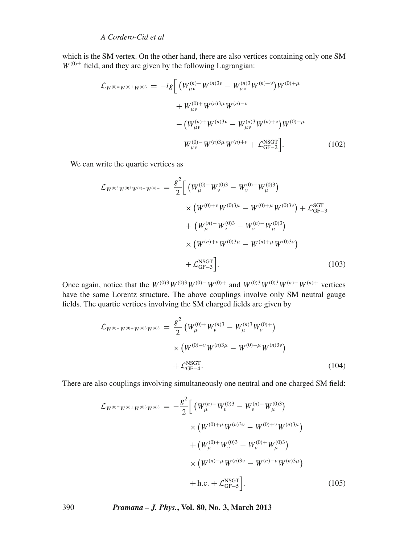which is the SM vertex. On the other hand, there are also vertices containing only one SM  $W^{(0)\pm}$  field, and they are given by the following Lagrangian:

$$
\mathcal{L}_{W^{(0)\mp}W^{(n)\pm}W^{(n)3}} = -ig \left[ \left( W_{\mu\nu}^{(n)-} W^{(n)3\nu} - W_{\mu\nu}^{(n)3} W^{(n)-\nu} \right) W^{(0)+\mu} \right. \\
\left. + W_{\mu\nu}^{(0)+} W^{(n)3\mu} W^{(n)-\nu} \right. \\
\left. - \left( W_{\mu\nu}^{(n)+} W^{(n)3\nu} - W_{\mu\nu}^{(n)3} W^{(n)+\nu} \right) W^{(0)-\mu} \right. \\
\left. - W_{\mu\nu}^{(0)-} W^{(n)3\mu} W^{(n)+\nu} + \mathcal{L}_{\text{GF}-2}^{\text{NSGT}} \right]. \tag{102}
$$

We can write the quartic vertices as

$$
\mathcal{L}_{W^{(0)3}W^{(0)3}W^{(n)-}W^{(n)+}} = \frac{g^2}{2} \Big[ \left( W_{\mu}^{(0)-} W_{\nu}^{(0)3} - W_{\nu}^{(0)-} W_{\mu}^{(0)3} \right) \times \left( W^{(0)+\nu} W^{(0)3\mu} - W^{(0)+\mu} W^{(0)3\nu} \right) + \mathcal{L}_{GF-3}^{SGT} + \left( W_{\mu}^{(n)-} W_{\nu}^{(0)3} - W_{\nu}^{(n)-} W_{\mu}^{(0)3} \right) \times \left( W^{(n)+\nu} W^{(0)3\mu} - W^{(n)+\mu} W^{(0)3\nu} \right) + \mathcal{L}_{GF-3}^{NSGT} \Big]. \tag{103}
$$

Once again, notice that the  $W^{(0)3}W^{(0)3}W^{(0)-}W^{(0)+}$  and  $W^{(0)3}W^{(0)3}W^{(n)-}W^{(n)+}$  vertices have the same Lorentz structure. The above couplings involve only SM neutral gauge fields. The quartic vertices involving the SM charged fields are given by

$$
\mathcal{L}_{W^{(0)-W^{(0)+}W^{(n)3}W^{(n)3}}} = \frac{g^2}{2} \left( W_{\mu}^{(0)+} W_{\nu}^{(n)3} - W_{\mu}^{(n)3} W_{\nu}^{(0)+} \right) \\
\times \left( W^{(0)-\nu} W^{(n)3\mu} - W^{(0)-\mu} W^{(n)3\nu} \right) \\
+ \mathcal{L}_{\text{GF}-4}^{\text{NSGT}}.
$$
\n(104)

There are also couplings involving simultaneously one neutral and one charged SM field:

$$
\mathcal{L}_{W^{(0)\pm W^{(n)3}W^{(n)3}}} = -\frac{g^2}{2} \Big[ \left( W_{\mu}^{(n)-} W_{\nu}^{(0)3} - W_{\nu}^{(n)-} W_{\mu}^{(0)3} \right) \times \left( W^{(0)+\mu} W^{(n)3\nu} - W^{(0)+\nu} W^{(n)3\mu} \right) \times \left( W_{\mu}^{(0)+} W_{\nu}^{(0)3} - W_{\nu}^{(0)+} W_{\mu}^{(0)3} \right) \times \left( W^{(n)-\mu} W^{(n)3\nu} - W^{(n)-\nu} W^{(n)3\mu} \right) \n+ h.c. + \mathcal{L}_{GF-S}^{NGIT} \Big]. \tag{105}
$$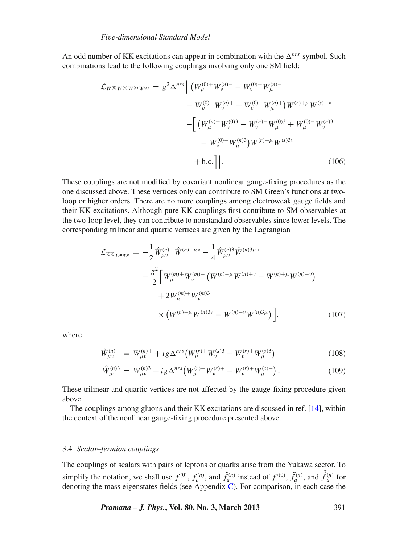An odd number of KK excitations can appear in combination with the  $\Delta^{nrs}$  symbol. Such combinations lead to the following couplings involving only one SM field:

$$
\mathcal{L}_{W^{(0)}W^{(r)}W^{(s)}} = g^2 \Delta^{nrs} \Bigg\{ \left( W_{\mu}^{(0)+} W_{\nu}^{(n)-} - W_{\nu}^{(0)+} W_{\mu}^{(n)-} \right. \\ \left. - W_{\mu}^{(0)-} W_{\nu}^{(n)+} + W_{\nu}^{(0)-} W_{\mu}^{(n)+} \right) W^{(r)+\mu} W^{(s)-\nu} \\ - \Bigg[ \left( W_{\mu}^{(n)-} W_{\nu}^{(0)3} - W_{\nu}^{(n)-} W_{\mu}^{(0)3} + W_{\mu}^{(0)-} W_{\nu}^{(n)3} \right. \\ \left. - W_{\nu}^{(0)-} W_{\mu}^{(n)3} \right) W^{(r)+\mu} W^{(s)3\nu} \\ + \text{h.c.} \Bigg] \Bigg\} . \tag{106}
$$

These couplings are not modified by covariant nonlinear gauge-fixing procedures as the one discussed above. These vertices only can contribute to SM Green's functions at twoloop or higher orders. There are no more couplings among electroweak gauge fields and their KK excitations. Although pure KK couplings first contribute to SM observables at the two-loop level, they can contribute to nonstandard observables since lower levels. The corresponding trilinear and quartic vertices are given by the Lagrangian

$$
\mathcal{L}_{KK\text{-gauge}} = -\frac{1}{2} \hat{W}^{(n)-}_{\mu\nu} \hat{W}^{(n)+\mu\nu} - \frac{1}{4} \hat{W}^{(n)3}_{\mu\nu} \hat{W}^{(n)3\mu\nu} \n- \frac{g^2}{2} \left[ W^{(m)+}_{\mu} W^{(m)-}_{\nu} \left( W^{(n)-\mu} W^{(n)+\nu} - W^{(n)+\mu} W^{(n)-\nu} \right) \right. \n+ 2 W^{(m)+}_{\mu} W^{(m)3}_{\nu} \n\times \left( W^{(n)-\mu} W^{(n)3\nu} - W^{(n)-\nu} W^{(n)3\mu} \right) \Big],
$$
\n(107)

where

$$
\hat{W}^{(n)+}_{\mu\nu} = W^{(n)+}_{\mu\nu} + ig \Delta^{nrs} \left( W^{(r)+}_{\mu} W^{(s)3}_{\nu} - W^{(r)+}_{\nu} W^{(s)3}_{\mu} \right) \tag{108}
$$

$$
\hat{W}^{(n)3}_{\mu\nu} = W^{(n)3}_{\mu\nu} + ig\Delta^{nrs} \left( W^{(r)}_{\mu} - W^{(s)+}_{\nu} - W^{(r)+}_{\nu} W^{(s)-}_{\mu} \right). \tag{109}
$$

These trilinear and quartic vertices are not affected by the gauge-fixing procedure given above.

The couplings among gluons and their KK excitations are discussed in ref. [\[14\]](#page-43-0), within the context of the nonlinear gauge-fixing procedure presented above.

#### 3.4 *Scalar–fermion couplings*

The couplings of scalars with pairs of leptons or quarks arise from the Yukawa sector. To simplify the notation, we shall use  $f^{(0)}$ ,  $f_a^{(n)}$ , and  $\hat{f}_a^{(n)}$  instead of  $f'^{(0)}$ ,  $\tilde{f}_a^{(n)}$ , and  $\tilde{\hat{f}}_a^{(n)}$  for denoting the mass eigenstates fields (see Appendix [C\)](#page-39-0). For comparison, in each case the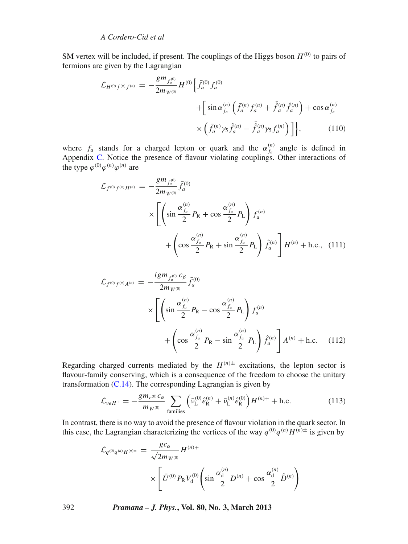SM vertex will be included, if present. The couplings of the Higgs boson  $H^{(0)}$  to pairs of fermions are given by the Lagrangian

$$
\mathcal{L}_{H^{(0)}f^{(n)}} = -\frac{gm_{f_a^{(0)}}}{2m_{W^{(0)}}} H^{(0)} \Big\{ \bar{f}_a^{(0)} f_a^{(0)} + \Big[ \sin \alpha_{f_a}^{(n)} \left( \bar{f}_a^{(n)} f_a^{(n)} + \bar{\hat{f}}_a^{(n)} \hat{f}_a^{(n)} \right) + \cos \alpha_{f_a}^{(n)} \Big] + \Big[ \sin \alpha_{f_a}^{(n)} \left( \bar{f}_a^{(n)} f_a^{(n)} + \bar{\hat{f}}_a^{(n)} f_a^{(n)} \right) + \cos \alpha_{f_a}^{(n)} \Big] \Big\}, \tag{110}
$$

where  $f_a$  stands for a charged lepton or quark and the  $\alpha_{f_a}^{(n)}$  angle is defined in Appendix [C.](#page-39-0) Notice the presence of flavour violating couplings. Other interactions of the type  $\varphi^{(0)}\varphi^{(n)}\varphi^{(n)}$  are

$$
\mathcal{L}_{f^{(0)}f^{(n)}H^{(n)}} = -\frac{gm_{f_a^{(0)}}}{2m_{W^{(0)}}} \bar{f}_a^{(0)}\n\times \left[ \left( \sin \frac{\alpha_{f_a}^{(n)}}{2} P_R + \cos \frac{\alpha_{f_a}^{(n)}}{2} P_L \right) f_a^{(n)} \right.\n+ \left( \cos \frac{\alpha_{f_a}^{(n)}}{2} P_R + \sin \frac{\alpha_{f_a}^{(n)}}{2} P_L \right) \hat{f}_a^{(n)} \right] H^{(n)} + \text{h.c., (111)}
$$

$$
\mathcal{L}_{f^{(0)}f^{(n)}A^{(n)}} = -\frac{i g m_{f_a^{(0)}} c_{\beta}}{2m_{W^{(0)}}} \bar{f}_a^{(0)}\n\times \left[ \left( \sin \frac{\alpha_{f_a}^{(n)}}{2} P_R - \cos \frac{\alpha_{f_a}^{(n)}}{2} P_L \right) f_a^{(n)} \right.\n+ \left( \cos \frac{\alpha_{f_a}^{(n)}}{2} P_R - \sin \frac{\alpha_{f_a}^{(n)}}{2} P_L \right) \hat{f}_a^{(n)} \right] A^{(n)} + \text{h.c.} \quad (112)
$$

Regarding charged currents mediated by the  $H^{(n)\pm}$  excitations, the lepton sector is flavour-family conserving, which is a consequence of the freedom to choose the unitary transformation  $(C.14)$ . The corresponding Lagrangian is given by

$$
\mathcal{L}_{veH^{+}} = -\frac{gm_{e^{(0)}}c_{\alpha}}{m_{W^{(0)}}} \sum_{\text{families}} \left( \bar{\nu}_{\text{L}}^{(0)} \hat{e}_{\text{R}}^{(n)} + \bar{\nu}_{\text{L}}^{(n)} \hat{e}_{\text{R}}^{(0)} \right) H^{(n)+} + \text{h.c.}
$$
(113)

In contrast, there is no way to avoid the presence of flavour violation in the quark sector. In this case, the Lagrangian characterizing the vertices of the way  $q^{(0)}q^{(n)}H^{(n)\pm}$  is given by

$$
\mathcal{L}_{q^{(0)}q^{(n)}H^{(n)\pm}} = \frac{g c_{\alpha}}{\sqrt{2}m_{W^{(0)}}}H^{(n)+} \times \left[ \bar{U}^{(0)}P_{R}V_{d}^{(0)} \left( \sin \frac{\alpha_{d}^{(n)}}{2} D^{(n)} + \cos \frac{\alpha_{d}^{(n)}}{2} \hat{D}^{(n)} \right) \right]
$$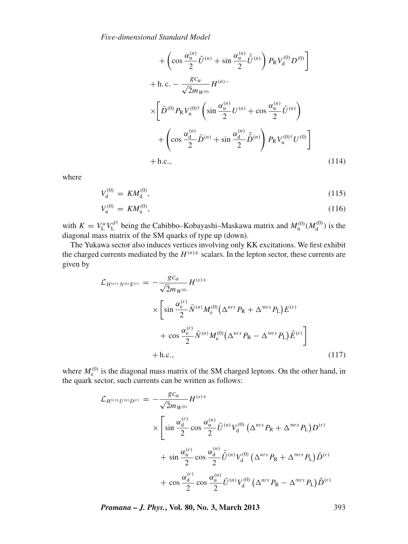$$
+\left(\cos\frac{\alpha_{\rm u}^{(n)}}{2}\bar{U}^{(n)} + \sin\frac{\alpha_{\rm u}^{(n)}}{2}\bar{\hat{U}}^{(n)}\right)P_{\rm R}V_{\rm d}^{(0)}D^{(0)}\right] + \text{h.c.} - \frac{g c_{\alpha}}{\sqrt{2}m_{W^{(0)}}}H^{(n)-} \times \left[\bar{D}^{(0)}P_{\rm R}V_{\rm u}^{(0)\dagger}\left(\sin\frac{\alpha_{\rm u}^{(n)}}{2}U^{(n)} + \cos\frac{\alpha_{\rm u}^{(n)}}{2}\hat{U}^{(n)}\right) \right. + \left(\cos\frac{\alpha_{\rm d}^{(n)}}{2}\bar{D}^{(n)} + \sin\frac{\alpha_{\rm d}^{(n)}}{2}\bar{\hat{D}}^{(n)}\right)P_{\rm R}V_{\rm u}^{(0)\dagger}U^{(0)}\right] + \text{h.c.,}
$$
\n(114)

where

$$
V_{d}^{(0)} = KM_{d}^{(0)},\tag{115}
$$

$$
V_{\mathbf{u}}^{(0)} = KM_{\mathbf{u}}^{(0)},\tag{116}
$$

with  $K = V_L^u V_L^{d\dagger}$  being the Cabibbo–Kobayashi–Maskawa matrix and  $M_u^{(0)} (M_d^{(0)})$  is the diagonal mass matrix of the SM quarks of type up (down).

The Yukawa sector also induces vertices involving only KK excitations. We first exhibit the charged currents mediated by the  $H^{(n)\pm}$  scalars. In the lepton sector, these currents are given by

$$
\mathcal{L}_{H^{(s)+N^{(n)}}E^{(r)}} = -\frac{g c_{\alpha}}{\sqrt{2}m_{W^{(0)}}} H^{(s)+} \times \left[ \sin \frac{\alpha_e^{(r)}}{2} \bar{N}^{(n)} M_e^{(0)} (\Delta^{nrs} P_R + \Delta^{mrs} P_L) E^{(r)} + \cos \frac{\alpha_e^{(r)}}{2} \bar{N}^{(n)} M_e^{(0)} (\Delta^{nrs} P_R - \Delta^{mrs} P_L) \hat{E}^{(r)} \right] + \text{h.c.,}
$$
\n(117)

where  $M_{\rm e}^{(0)}$  is the diagonal mass matrix of the SM charged leptons. On the other hand, in the quark sector, such currents can be written as follows:

$$
\mathcal{L}_{H^{(s)\pm}U^{(n)}D^{(r)}} = -\frac{g c_{\alpha}}{\sqrt{2}m_{W^{(0)}}} H^{(s)+}
$$
\n
$$
\times \left[ \sin \frac{\alpha_{d}^{(r)}}{2} \cos \frac{\alpha_{u}^{(n)}}{2} \bar{U}^{(n)} V_{d}^{(0)} \left( \Delta^{nrs} P_{R} + \Delta^{mrs} P_{L} \right) D^{(r)} + \sin \frac{\alpha_{u}^{(r)}}{2} \cos \frac{\alpha_{d}^{(n)}}{2} \bar{\hat{U}}^{(n)} V_{d}^{(0)} \left( \Delta^{nrs} P_{R} + \Delta^{mrs} P_{L} \right) \hat{D}^{(r)} + \cos \frac{\alpha_{d}^{(r)}}{2} \cos \frac{\alpha_{u}^{(n)}}{2} \bar{U}^{(n)} V_{d}^{(0)} \left( \Delta^{nrs} P_{R} - \Delta^{mrs} P_{L} \right) \hat{D}^{(r)} \right]
$$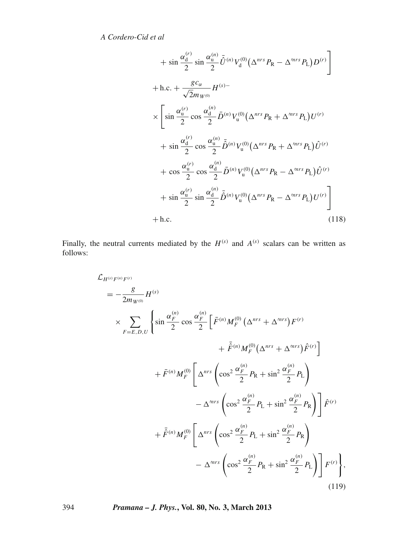$$
+ \sin \frac{\alpha_d^{(r)}}{2} \sin \frac{\alpha_u^{(n)}}{2} \tilde{U}^{(n)} V_d^{(0)} (\Delta^{nrs} P_R - \Delta^{mrs} P_L) D^{(r)} \n+ h.c. + \frac{g c_\alpha}{\sqrt{2} m_{W^{(0)}}} H^{(s)} -\n\times \left[ \sin \frac{\alpha_u^{(r)}}{2} \cos \frac{\alpha_d^{(n)}}{2} \tilde{D}^{(n)} V_u^{(0)} (\Delta^{nrs} P_R + \Delta^{mrs} P_L) U^{(r)} \right. \n+ \sin \frac{\alpha_d^{(r)}}{2} \cos \frac{\alpha_u^{(n)}}{2} \tilde{D}^{(n)} V_u^{(0)} (\Delta^{nrs} P_R + \Delta^{mrs} P_L) \tilde{U}^{(r)} \n+ \cos \frac{\alpha_u^{(r)}}{2} \cos \frac{\alpha_d^{(n)}}{2} \tilde{D}^{(n)} V_u^{(0)} (\Delta^{nrs} P_R - \Delta^{mrs} P_L) \tilde{U}^{(r)} \n+ \sin \frac{\alpha_u^{(r)}}{2} \sin \frac{\alpha_d^{(n)}}{2} \tilde{D}^{(n)} V_u^{(0)} (\Delta^{nrs} P_R - \Delta^{mrs} P_L) U^{(r)} \right] \n+ h.c. \tag{118}
$$

Finally, the neutral currents mediated by the  $H^{(s)}$  and  $A^{(s)}$  scalars can be written as follows:

$$
\mathcal{L}_{H^{(s)}F^{(n)}F^{(r)}} = -\frac{g}{2m_{W^{(0)}}} H^{(s)}
$$
\n
$$
\times \sum_{F=E,D,U} \left\{ \sin \frac{\alpha_F^{(n)}}{2} \cos \frac{\alpha_F^{(n)}}{2} \left[ \bar{F}^{(n)} M_F^{(0)} \left( \Delta^{nrs} + \Delta^{mrs} \right) F^{(r)} \right. \right. \\ \left. + \bar{F}^{(n)} M_F^{(0)} \left( \Delta^{nrs} + \Delta^{mrs} \right) \hat{F}^{(r)} \right] \right. \\ \left. + \bar{F}^{(n)} M_F^{(0)} \left[ \Delta^{nrs} \left( \cos^2 \frac{\alpha_F^{(n)}}{2} P_R + \sin^2 \frac{\alpha_F^{(n)}}{2} P_L \right) \right. \right. \\ \left. - \Delta^{mrs} \left( \cos^2 \frac{\alpha_F^{(n)}}{2} P_L + \sin^2 \frac{\alpha_F^{(n)}}{2} P_R \right) \right] \hat{F}^{(r)}
$$
\n
$$
+ \bar{F}^{(n)} M_F^{(0)} \left[ \Delta^{nrs} \left( \cos^2 \frac{\alpha_F^{(n)}}{2} P_L + \sin^2 \frac{\alpha_F^{(n)}}{2} P_R \right) \right] \hat{F}^{(r)}
$$
\n
$$
- \Delta^{mrs} \left( \cos^2 \frac{\alpha_F^{(n)}}{2} P_R + \sin^2 \frac{\alpha_F^{(n)}}{2} P_L \right) \right] F^{(r)} \right\}, \tag{119}
$$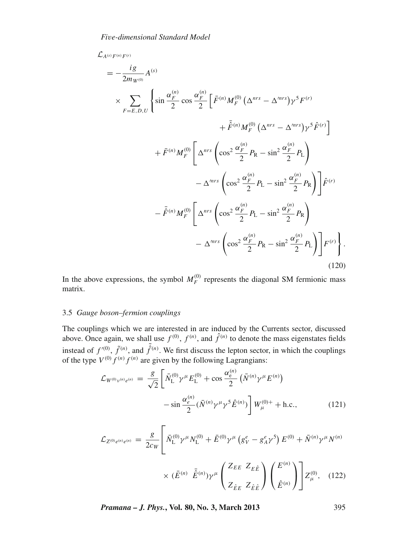$\mathcal{L}_{A^{(s)}F^{(n)}F^{(r)}}$ 

$$
= -\frac{ig}{2m_{W^{(0)}}} A^{(s)}
$$
  
\n
$$
\times \sum_{F=E,D,U} \left\{ \sin \frac{\alpha_F^{(n)}}{2} \cos \frac{\alpha_F^{(n)}}{2} \left[ \bar{F}^{(n)} M_F^{(0)} \left( \Delta^{nrs} - \Delta^{mrs} \right) \gamma^5 F^{(r)} + \bar{F}^{(n)} M_F^{(0)} \left( \Delta^{nrs} - \Delta^{mrs} \right) \gamma^5 \hat{F}^{(r)} \right] + \bar{F}^{(n)} M_F^{(0)} \left[ \Delta^{nrs} \left( \cos^2 \frac{\alpha_F^{(n)}}{2} P_R - \sin^2 \frac{\alpha_F^{(n)}}{2} P_L \right) - \Delta^{mrs} \left( \cos^2 \frac{\alpha_F^{(n)}}{2} P_L - \sin^2 \frac{\alpha_F^{(n)}}{2} P_R \right) \right] \hat{F}^{(r)}
$$
  
\n
$$
- \bar{F}^{(n)} M_F^{(0)} \left[ \Delta^{nrs} \left( \cos^2 \frac{\alpha_F^{(n)}}{2} P_L - \sin^2 \frac{\alpha_F^{(n)}}{2} P_R \right) - \Delta^{mrs} \left( \cos^2 \frac{\alpha_F^{(n)}}{2} P_R - \sin^2 \frac{\alpha_F^{(n)}}{2} P_L \right) \right] F^{(r)} \right\}. \tag{120}
$$

In the above expressions, the symbol  $M_F^{(0)}$  represents the diagonal SM fermionic mass matrix.

#### 3.5 *Gauge boson–fermion couplings*

The couplings which we are interested in are induced by the Currents sector, discussed above. Once again, we shall use  $f^{(0)}$ ,  $f^{(n)}$ , and  $\hat{f}^{(n)}$  to denote the mass eigenstates fields instead of  $f^{(0)}$ ,  $\tilde{f}^{(n)}$ , and  $\tilde{\hat{f}}^{(n)}$ . We first discuss the lepton sector, in which the couplings of the type  $V^{(0)} f^{(n)} f^{(n)}$  are given by the following Lagrangians:

$$
\mathcal{L}_{W^{(0)}\nu^{(n)}e^{(n)}} = \frac{g}{\sqrt{2}} \left[ \bar{N}_{\text{L}}^{(0)} \gamma^{\mu} E_{\text{L}}^{(0)} + \cos \frac{\alpha_{\text{c}}^{(n)}}{2} \left( \bar{N}^{(n)} \gamma^{\mu} E^{(n)} \right) \right. \\
\left. - \sin \frac{\alpha_{\text{c}}^{(n)}}{2} \left( \bar{N}^{(n)} \gamma^{\mu} \gamma^{5} \hat{E}^{(n)} \right) \right] W_{\mu}^{(0)+} + \text{h.c.},\n\tag{121}
$$

$$
\mathcal{L}_{Z^{(0)}e^{(n)}} = \frac{g}{2c_W} \left[ \bar{N}_{\rm L}^{(0)} \gamma^{\mu} N_{\rm L}^{(0)} + \bar{E}^{(0)} \gamma^{\mu} \left( g_V^e - g_A^e \gamma^5 \right) E^{(0)} + \bar{N}^{(n)} \gamma^{\mu} N^{(n)} \right] \times (\bar{E}^{(n)} \bar{\hat{E}}^{(n)}) \gamma^{\mu} \left( \frac{Z_{EE} Z_{E\hat{E}}}{Z_{\hat{E}E}} \right) \left( \frac{E^{(n)}}{\hat{E}^{(n)}} \right) \right] Z_{\mu}^{(0)}, \quad (122)
$$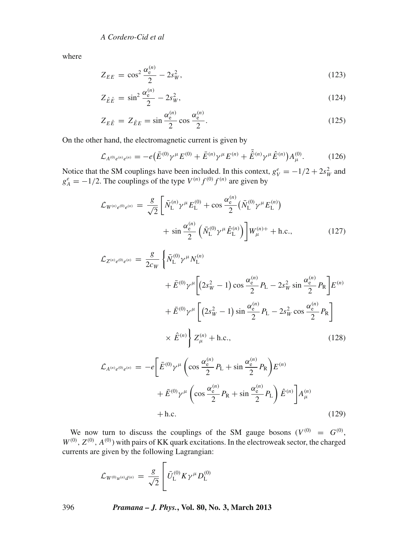where

$$
Z_{EE} = \cos^2 \frac{\alpha_e^{(n)}}{2} - 2s_W^2,
$$
\n(123)

$$
Z_{\hat{E}\hat{E}} = \sin^2 \frac{\alpha_{\rm e}^{(n)}}{2} - 2s_W^2,\tag{124}
$$

$$
Z_{E\hat{E}} = Z_{\hat{E}E} = \sin\frac{\alpha_e^{(n)}}{2}\cos\frac{\alpha_e^{(n)}}{2}.
$$
 (125)

On the other hand, the electromagnetic current is given by

$$
\mathcal{L}_{A^{(0)}e^{(n)}} = -e(\bar{E}^{(0)}\gamma^{\mu}E^{(0)} + \bar{E}^{(n)}\gamma^{\mu}E^{(n)} + \bar{\hat{E}}^{(n)}\gamma^{\mu}\hat{E}^{(n)})A_{\mu}^{(0)}.
$$
 (126)

Notice that the SM couplings have been included. In this context,  $g_V^e = -1/2 + 2s_W^2$  and  $g_A^e = -1/2$ . The couplings of the type  $V^{(n)} f^{(0)} f^{(n)}$  are given by

$$
\mathcal{L}_{W^{(n)}e^{(0)}e^{(n)}} = \frac{g}{\sqrt{2}} \left[ \bar{N}_{\rm L}^{(n)} \gamma^{\mu} E_{\rm L}^{(0)} + \cos \frac{\alpha_{\rm e}^{(n)}}{2} \left( \bar{N}_{\rm L}^{(0)} \gamma^{\mu} E_{\rm L}^{(n)} \right) + \sin \frac{\alpha_{\rm e}^{(n)}}{2} \left( \bar{N}_{\rm L}^{(0)} \gamma^{\mu} \hat{E}_{\rm L}^{(n)} \right) \right] W_{\mu}^{(n)+} + \text{h.c.}, \tag{127}
$$

$$
\mathcal{L}_{Z^{(n)}e^{(0)}e^{(n)}} = \frac{g}{2c_W} \left\{ \bar{N}_{L}^{(0)} \gamma^{\mu} N_{L}^{(n)} \right.\n+ \bar{E}^{(0)} \gamma^{\mu} \left[ (2s_W^2 - 1) \cos \frac{\alpha_e^{(n)}}{2} P_L - 2s_W^2 \sin \frac{\alpha_e^{(n)}}{2} P_R \right] E^{(n)} \right.\n+ \bar{E}^{(0)} \gamma^{\mu} \left[ (2s_W^2 - 1) \sin \frac{\alpha_e^{(n)}}{2} P_L - 2s_W^2 \cos \frac{\alpha_e^{(n)}}{2} P_R \right.\n\times \hat{E}^{(n)} \left\} Z_{\mu}^{(n)} + \text{h.c.}, \qquad (128)
$$

$$
\mathcal{L}_{A^{(n)}e^{(0)}e^{(n)}} = -e\left[\bar{E}^{(0)}\gamma^{\mu}\left(\cos\frac{\alpha_e^{(n)}}{2}P_L + \sin\frac{\alpha_e^{(n)}}{2}P_R\right)E^{(n)}\right] + \bar{E}^{(0)}\gamma^{\mu}\left(\cos\frac{\alpha_e^{(n)}}{2}P_R + \sin\frac{\alpha_e^{(n)}}{2}P_L\right)\hat{E}^{(n)}\right]A_{\mu}^{(n)} + \text{h.c.}
$$
\n(129)

We now turn to discuss the couplings of the SM gauge bosons  $(V^{(0)} = G^{(0)},$  $W^{(0)}$ ,  $Z^{(0)}$ ,  $A^{(0)}$ ) with pairs of KK quark excitations. In the electroweak sector, the charged currents are given by the following Lagrangian:

$$
\mathcal{L}_{W^{(0)}u^{(n)}d^{(n)}} = \frac{g}{\sqrt{2}} \left[ \bar{U}_{\rm L}^{(0)} K \gamma^{\mu} D_{\rm L}^{(0)} \right]
$$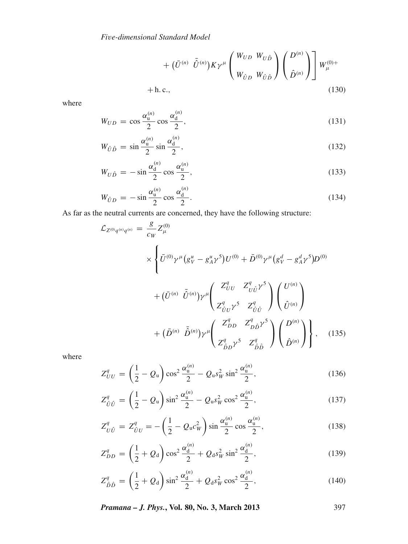$$
+\ (\bar{U}^{(n)}\ \bar{\hat{U}}^{(n)})K\gamma^{\mu}\left(\begin{array}{c} W_{UD} & W_{U\hat{D}} \\ W_{\hat{U}D} & W_{\hat{U}\hat{D}} \end{array}\right)\left(\begin{array}{c} D^{(n)} \\ \hat{D}^{(n)} \end{array}\right)\end{array} \begin{bmatrix} W_{\mu}^{(0)+} \\ + \end{bmatrix}
$$
\n
$$
+ \text{h.c.,} \tag{130}
$$

where

$$
W_{UD} = \cos \frac{\alpha_{\mathrm{u}}^{(n)}}{2} \cos \frac{\alpha_{\mathrm{d}}^{(n)}}{2},\tag{131}
$$

$$
W_{\hat{U}\hat{D}} = \sin\frac{\alpha_{\mathrm{u}}^{(n)}}{2}\sin\frac{\alpha_{\mathrm{d}}^{(n)}}{2},\tag{132}
$$

$$
W_{U\hat{D}} = -\sin\frac{\alpha_d^{(n)}}{2}\cos\frac{\alpha_u^{(n)}}{2},\tag{133}
$$

$$
W_{\hat{U}D} = -\sin\frac{\alpha_{\rm u}^{(n)}}{2}\cos\frac{\alpha_{\rm d}^{(n)}}{2}.\tag{134}
$$

As far as the neutral currents are concerned, they have the following structure:

$$
\mathcal{L}_{Z^{(0)}q^{(n)}} = \frac{g}{c_W} Z^{(0)}_{\mu}
$$
\n
$$
\times \left\{ \bar{U}^{(0)} \gamma^{\mu} \left( g^{\mu}_{V} - g^{\mu}_{A} \gamma^{5} \right) U^{(0)} + \bar{D}^{(0)} \gamma^{\mu} \left( g^d_{V} - g^d_{A} \gamma^{5} \right) D^{(0)} \right. \\ \left. + (\bar{U}^{(n)} \ \bar{\hat{U}}^{(n)}) \gamma^{\mu} \left( \frac{Z^{q}_{UU}}{Z^{q}_{\hat{U}\hat{U}} \gamma^{5}} \frac{Z^{q}_{\hat{U}\hat{U}}}{Z^{q}_{\hat{U}\hat{U}}} \right) \left( \frac{U^{(n)}}{\hat{U}^{(n)}} \right) \right. \\ \left. + (\bar{D}^{(n)} \ \bar{\hat{D}}^{(n)}) \gamma^{\mu} \left( \frac{Z^{q}_{DD}}{Z^{q}_{\hat{D}\hat{D}} \gamma^{5}} \frac{Z^{q}_{\hat{D}\hat{D}} \gamma^{5}}{Z^{q}_{\hat{D}\hat{D}}} \right) \left( \frac{D^{(n)}}{\hat{D}^{(n)}} \right) \right\}, \quad (135)
$$

where

$$
Z_{UU}^q = \left(\frac{1}{2} - Q_u\right) \cos^2 \frac{\alpha_u^{(n)}}{2} - Q_u s_W^2 \sin^2 \frac{\alpha_u^{(n)}}{2},\tag{136}
$$

$$
Z_{\hat{U}\hat{U}}^q = \left(\frac{1}{2} - Q_u\right) \sin^2 \frac{\alpha_u^{(n)}}{2} - Q_u s_W^2 \cos^2 \frac{\alpha_u^{(n)}}{2},\tag{137}
$$

$$
Z_{U\hat{U}}^q = Z_{\hat{U}U}^q = -\left(\frac{1}{2} - Q_{\rm u}c_W^2\right)\sin\frac{\alpha_{\rm u}^{(n)}}{2}\cos\frac{\alpha_{\rm u}^{(n)}}{2},\tag{138}
$$

$$
Z_{DD}^q = \left(\frac{1}{2} + Q_d\right) \cos^2 \frac{\alpha_d^{(n)}}{2} + Q_d s_W^2 \sin^2 \frac{\alpha_d^{(n)}}{2},\tag{139}
$$

$$
Z_{\hat{D}\hat{D}}^q = \left(\frac{1}{2} + Q_d\right) \sin^2 \frac{\alpha_d^{(n)}}{2} + Q_d s_W^2 \cos^2 \frac{\alpha_d^{(n)}}{2},\tag{140}
$$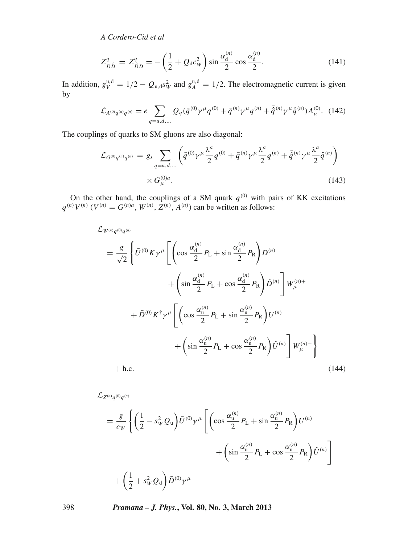$$
Z_{D\hat{D}}^{q} = Z_{\hat{D}D}^{q} = -\left(\frac{1}{2} + Q_{d}c_{W}^{2}\right)\sin\frac{\alpha_{d}^{(n)}}{2}\cos\frac{\alpha_{d}^{(n)}}{2}.
$$
 (141)

In addition,  $g_V^{\text{u,d}} = 1/2 - Q_{\text{u,d}} s_W^2$  and  $g_A^{\text{u,d}} = 1/2$ . The electromagnetic current is given by

$$
\mathcal{L}_{A^{(0)}q^{(n)}q^{(n)}} = e \sum_{q=u,d,...} Q_q(\bar{q}^{(0)}\gamma^{\mu}q^{(0)} + \bar{q}^{(n)}\gamma^{\mu}q^{(n)} + \bar{\hat{q}}^{(n)}\gamma^{\mu}\hat{q}^{(n)})A_{\mu}^{(0)}.
$$
 (142)

The couplings of quarks to SM gluons are also diagonal:

$$
\mathcal{L}_{G^{(0)}q^{(n)}q^{(n)}} = g_{s} \sum_{q=u,d,...} \left( \bar{q}^{(0)} \gamma^{\mu} \frac{\lambda^{a}}{2} q^{(0)} + \bar{q}^{(n)} \gamma^{\mu} \frac{\lambda^{a}}{2} q^{(n)} + \bar{\hat{q}}^{(n)} \gamma^{\mu} \frac{\lambda^{a}}{2} \hat{q}^{(n)} \right) \times G_{\mu}^{(0)a}.
$$
\n(143)

On the other hand, the couplings of a SM quark  $q^{(0)}$  with pairs of KK excitations  $q^{(n)}V^{(n)}$  (*V*<sup>(*n*)</sup> = *G*<sup>(*n*)*a*</sup>, *W*<sup>(*n*)</sup>, *Z*<sup>(*n*)</sup>, *A*<sup>(*n*)</sup>) can be written as follows:

$$
\mathcal{L}_{W^{(n)}q^{(0)}q^{(n)}} = \frac{g}{\sqrt{2}} \left\{ \bar{U}^{(0)} K \gamma^{\mu} \left[ \left( \cos \frac{\alpha_{\rm d}^{(n)}}{2} P_{\rm L} + \sin \frac{\alpha_{\rm d}^{(n)}}{2} P_{\rm R} \right) D^{(n)} \right. \right. \\ \left. + \left( \sin \frac{\alpha_{\rm d}^{(n)}}{2} P_{\rm L} + \cos \frac{\alpha_{\rm d}^{(n)}}{2} P_{\rm R} \right) \hat{D}^{(n)} \right] W_{\mu}^{(n)+} \\ \left. + \bar{D}^{(0)} K^{\dagger} \gamma^{\mu} \left[ \left( \cos \frac{\alpha_{\rm u}^{(n)}}{2} P_{\rm L} + \sin \frac{\alpha_{\rm u}^{(n)}}{2} P_{\rm R} \right) U^{(n)} \right. \right. \\ \left. + \left( \sin \frac{\alpha_{\rm u}^{(n)}}{2} P_{\rm L} + \cos \frac{\alpha_{\rm u}^{(n)}}{2} P_{\rm R} \right) \hat{U}^{(n)} \right] W_{\mu}^{(n)-} \right\} \\ \left. + \text{h.c.} \tag{144}
$$

$$
\mathcal{L}_{Z^{(n)}q^{(0)}q^{(n)}}\n= \frac{g}{c_W} \left\{ \left( \frac{1}{2} - s_W^2 Q_u \right) \bar{U}^{(0)} \gamma^\mu \left[ \left( \cos \frac{\alpha_u^{(n)}}{2} P_L + \sin \frac{\alpha_u^{(n)}}{2} P_R \right) U^{(n)} \right. \right.\n\left. + \left( \sin \frac{\alpha_u^{(n)}}{2} P_L + \cos \frac{\alpha_u^{(n)}}{2} P_R \right) \hat{U}^{(n)} \right] \right\}
$$
\n
$$
+ \left( \frac{1}{2} + s_W^2 Q_d \right) \bar{D}^{(0)} \gamma^\mu
$$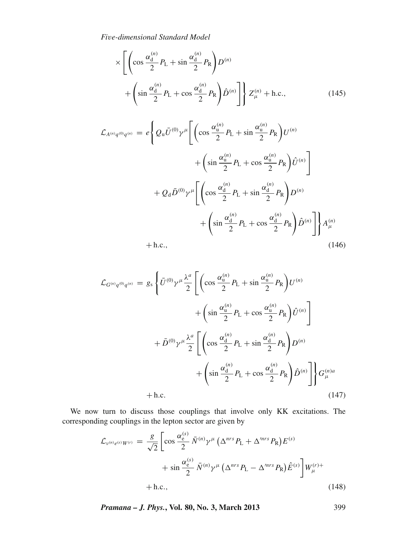$$
\times \left[ \left( \cos \frac{\alpha_d^{(n)}}{2} P_{\rm L} + \sin \frac{\alpha_d^{(n)}}{2} P_{\rm R} \right) D^{(n)} \right]
$$

$$
+ \left( \sin \frac{\alpha_d^{(n)}}{2} P_{\rm L} + \cos \frac{\alpha_d^{(n)}}{2} P_{\rm R} \right) \hat{D}^{(n)} \right] \left\} Z_{\mu}^{(n)} + \text{h.c.}, \tag{145}
$$

$$
\mathcal{L}_{A^{(n)}q^{(0)}q^{(n)}} = e \left\{ Q_u \overline{U}^{(0)} \gamma^{\mu} \left[ \left( \cos \frac{\alpha_u^{(n)}}{2} P_L + \sin \frac{\alpha_u^{(n)}}{2} P_R \right) U^{(n)} \right. \right.\left. + \left( \sin \frac{\alpha_u^{(n)}}{2} P_L + \cos \frac{\alpha_u^{(n)}}{2} P_R \right) \hat{U}^{(n)} \right] \right.\left. + Q_d \overline{D}^{(0)} \gamma^{\mu} \left[ \left( \cos \frac{\alpha_d^{(n)}}{2} P_L + \sin \frac{\alpha_d^{(n)}}{2} P_R \right) D^{(n)} \right. \right.\left. + \left( \sin \frac{\alpha_d^{(n)}}{2} P_L + \cos \frac{\alpha_d^{(n)}}{2} P_R \right) \hat{D}^{(n)} \right] \right\} A_{\mu}^{(n)}+ h.c., \tag{146}
$$

$$
(146)
$$

$$
\mathcal{L}_{G^{(n)}q^{(0)}q^{(n)}} = g_s \left\{ \bar{U}^{(0)} \gamma^{\mu} \frac{\lambda^a}{2} \left[ \left( \cos \frac{\alpha_u^{(n)}}{2} P_L + \sin \frac{\alpha_u^{(n)}}{2} P_R \right) U^{(n)} + \left( \sin \frac{\alpha_u^{(n)}}{2} P_L + \cos \frac{\alpha_u^{(n)}}{2} P_R \right) \hat{U}^{(n)} \right] \right\}
$$

$$
+ \bar{D}^{(0)} \gamma^{\mu} \frac{\lambda^a}{2} \left[ \left( \cos \frac{\alpha_d^{(n)}}{2} P_L + \sin \frac{\alpha_d^{(n)}}{2} P_R \right) D^{(n)} + \left( \sin \frac{\alpha_d^{(n)}}{2} P_L + \cos \frac{\alpha_d^{(n)}}{2} P_R \right) \hat{D}^{(n)} \right]
$$

$$
+ h.c.
$$

$$
(147)
$$

We now turn to discuss those couplings that involve only KK excitations. The corresponding couplings in the lepton sector are given by

$$
\mathcal{L}_{\nu^{(n)}e^{(s)}W^{(r)}} = \frac{g}{\sqrt{2}} \left[ \cos \frac{\alpha_e^{(s)}}{2} \bar{N}^{(n)} \gamma^\mu \left( \Delta^{nrs} P_L + \Delta^{mrs} P_R \right) E^{(s)} + \sin \frac{\alpha_e^{(s)}}{2} \bar{N}^{(n)} \gamma^\mu \left( \Delta^{nrs} P_L - \Delta^{mrs} P_R \right) \hat{E}^{(s)} \right] W_{\mu}^{(r)+}
$$
  
+ h.c., (148)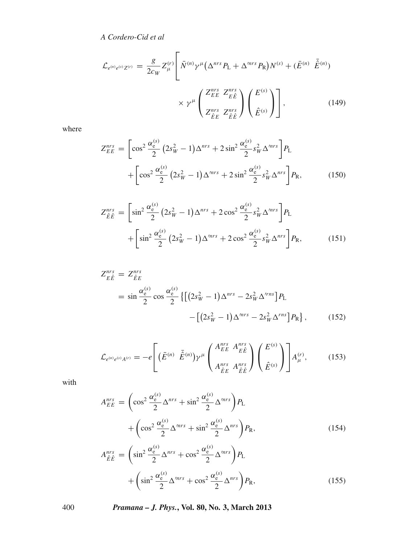$$
\mathcal{L}_{e^{(n)}e^{(s)}Z^{(r)}} = \frac{g}{2c_W} Z_{\mu}^{(r)} \left[ \bar{N}^{(n)} \gamma^{\mu} \left( \Delta^{nrs} P_L + \Delta^{mrs} P_R \right) N^{(s)} + (\bar{E}^{(n)} \ \bar{\hat{E}}^{(n)}) \right] \times \gamma^{\mu} \left( \frac{Z_{EE}^{nrs}}{Z_{\hat{E}\hat{E}}^{nrs}} \right) \left( \frac{E^{(s)}}{\hat{E}^{(s)}} \right) \right],
$$
\n(149)

where

$$
Z_{EE}^{nrs} = \left[ \cos^2 \frac{\alpha_{e}^{(s)}}{2} \left( 2s_W^2 - 1 \right) \Delta^{nrs} + 2 \sin^2 \frac{\alpha_{e}^{(s)}}{2} s_W^2 \Delta^{mrs} \right] P_L + \left[ \cos^2 \frac{\alpha_{e}^{(s)}}{2} \left( 2s_W^2 - 1 \right) \Delta^{mrs} + 2 \sin^2 \frac{\alpha_{e}^{(s)}}{2} s_W^2 \Delta^{nrs} \right] P_R,
$$
(150)

$$
Z_{\hat{E}\hat{E}}^{nrs} = \left[ \sin^2 \frac{\alpha_e^{(s)}}{2} \left( 2s_W^2 - 1 \right) \Delta^{nrs} + 2 \cos^2 \frac{\alpha_e^{(s)}}{2} s_W^2 \Delta^{mrs} \right] P_L + \left[ \sin^2 \frac{\alpha_e^{(s)}}{2} \left( 2s_W^2 - 1 \right) \Delta^{mrs} + 2 \cos^2 \frac{\alpha_e^{(s)}}{2} s_W^2 \Delta^{nrs} \right] P_R,
$$
(151)

$$
Z_{E\hat{E}}^{nrs} = Z_{\hat{E}E}^{nrs}
$$
  
=  $\sin \frac{\alpha_e^{(s)}}{2} \cos \frac{\alpha_e^{(s)}}{2} \{ [(2s_W^2 - 1)\Delta^{nrs} - 2s_W^2 \Delta^{rns}] P_L$   

$$
- [(2s_W^2 - 1)\Delta^{mrs} - 2s_W^2 \Delta^{rns}] P_R \},
$$
 (152)

$$
\mathcal{L}_{e^{(n)}e^{(s)}A^{(r)}} = -e \left[ \left( \bar{E}^{(n)} \ \ \bar{\hat{E}}^{(n)} \right) \gamma^{\mu} \begin{pmatrix} A_{EE}^{nrs} & A_{EE}^{nrs} \\ A_{EE}^{nrs} & A_{EE}^{nrs} \end{pmatrix} \begin{pmatrix} E^{(s)} \\ \hat{E}^{(s)} \end{pmatrix} \right] A_{\mu}^{(r)},\tag{153}
$$

with

$$
A_{EE}^{nrs} = \left(\cos^2 \frac{\alpha_e^{(s)}}{2} \Delta^{nrs} + \sin^2 \frac{\alpha_e^{(s)}}{2} \Delta^{mrs}\right) P_L
$$
  
+ 
$$
\left(\cos^2 \frac{\alpha_e^{(s)}}{2} \Delta^{mrs} + \sin^2 \frac{\alpha_e^{(s)}}{2} \Delta^{nrs}\right) P_R,
$$
  

$$
A_{\hat{E}\hat{E}}^{nrs} = \left(\sin^2 \frac{\alpha_e^{(s)}}{2} \Delta^{nrs} + \cos^2 \frac{\alpha_e^{(s)}}{2} \Delta^{mrs}\right) P_L
$$
  
+ 
$$
\left(\sin^2 \frac{\alpha_e^{(s)}}{2} \Delta^{mrs} + \cos^2 \frac{\alpha_e^{(s)}}{2} \Delta^{nrs}\right) P_R,
$$
 (155)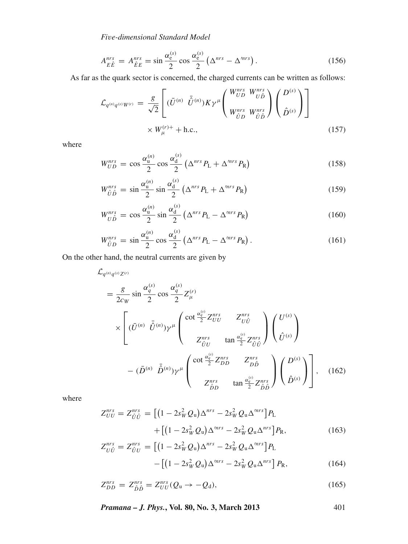$$
A_{E\hat{E}}^{nrs} = A_{\hat{E}E}^{nrs} = \sin\frac{\alpha_e^{(s)}}{2}\cos\frac{\alpha_e^{(s)}}{2}\left(\Delta^{nrs} - \Delta^{mrs}\right). \tag{156}
$$

As far as the quark sector is concerned, the charged currents can be written as follows:

$$
\mathcal{L}_{q^{(n)}q^{(s)}W^{(r)}} = \frac{g}{\sqrt{2}} \left[ (\bar{U}^{(n)} \ \bar{\hat{U}}^{(n)}) K \gamma^{\mu} \begin{pmatrix} W_{UD}^{nrs} & W_{UD}^{nrs} \\ W_{UD}^{nrs} & W_{\hat{U}\hat{D}}^{nrs} \end{pmatrix} \begin{pmatrix} D^{(s)} \\ \hat{D}^{(s)} \end{pmatrix} \right]
$$
\n
$$
\times W_{\mu}^{(r)+} + \text{h.c.}, \qquad (157)
$$

where

$$
W_{UD}^{nrs} = \cos \frac{\alpha_u^{(n)}}{2} \cos \frac{\alpha_d^{(s)}}{2} \left( \Delta^{nrs} P_L + \Delta^{mrs} P_R \right)
$$
(158)

$$
W_{\hat{U}\hat{D}}^{nrs} = \sin\frac{\alpha_{\mathrm{u}}^{(n)}}{2}\sin\frac{\alpha_{\mathrm{d}}^{(s)}}{2}\left(\Delta^{nrs}P_{\mathrm{L}} + \Delta^{mrs}P_{\mathrm{R}}\right) \tag{159}
$$

$$
W_{U\hat{D}}^{nrs} = \cos\frac{\alpha_{\mathrm{u}}^{(n)}}{2}\sin\frac{\alpha_{\mathrm{d}}^{(s)}}{2}\left(\Delta^{nrs}P_{\mathrm{L}} - \Delta^{mrs}P_{\mathrm{R}}\right) \tag{160}
$$

$$
W_{\hat{U}D}^{nrs} = \sin\frac{\alpha_{\mathrm{u}}^{(n)}}{2}\cos\frac{\alpha_{\mathrm{d}}^{(s)}}{2}\left(\Delta^{nrs}P_{\mathrm{L}} - \Delta^{mrs}P_{\mathrm{R}}\right). \tag{161}
$$

On the other hand, the neutral currents are given by

$$
\mathcal{L}_{q^{(n)}q^{(s)}Z^{(r)}} = \frac{g}{2c_W} \sin \frac{\alpha_q^{(s)}}{2} \cos \frac{\alpha_q^{(s)}}{2} Z_{\mu}^{(r)}
$$
\n
$$
\times \left[ (\bar{U}^{(n)} \ \bar{\hat{U}}^{(n)}) \gamma^{\mu} \left( \begin{array}{cc} \cot \frac{\alpha_q^{(s)}}{2} Z_{UU}^{nrs} & Z_{U\hat{U}}^{nrs} \\ Z_{\hat{U}U}^{nrs} & \tan \frac{\alpha_q^{(s)}}{2} Z_{\hat{U}\hat{U}}^{nrs} \end{array} \right) \left( \begin{array}{c} U^{(s)} \\ \hat{U}^{(s)} \end{array} \right) - (\bar{D}^{(n)} \ \bar{\hat{D}}^{(n)}) \gamma^{\mu} \left( \begin{array}{c} \cot \frac{\alpha_q^{(s)}}{2} Z_{DD}^{nrs} & Z_{D\hat{D}}^{nrs} \\ Z_{\hat{D}D}^{nrs} & \tan \frac{\alpha_q^{(s)}}{2} Z_{\hat{D}\hat{D}}^{nrs} \end{array} \right) \left( \begin{array}{c} D^{(s)} \\ \hat{D}^{(s)} \end{array} \right) \right], \quad (162)
$$

where

$$
Z_{UU}^{nrs} = Z_{\hat{U}\hat{U}}^{nrs} = \left[ (1 - 2s_W^2 Q_u) \Delta^{nrs} - 2s_W^2 Q_u \Delta^{mrs} \right] P_L + \left[ (1 - 2s_W^2 Q_u) \Delta^{mrs} - 2s_W^2 Q_u \Delta^{nrs} \right] P_R,
$$
(163)

$$
Z_{U\hat{U}}^{nrs} = Z_{\hat{U}U}^{nrs} = \left[ \left( 1 - 2s_W^2 Q_u \right) \Delta^{nrs} - 2s_W^2 Q_u \Delta^{mrs} \right] P_L - \left[ \left( 1 - 2s_W^2 Q_u \right) \Delta^{mrs} - 2s_W^2 Q_u \Delta^{nrs} \right] P_R,
$$
(164)

$$
Z_{DD}^{nrs} = Z_{\hat{D}\hat{D}}^{nrs} = Z_{UU}^{nrs}(Q_u \to -Q_d),\tag{165}
$$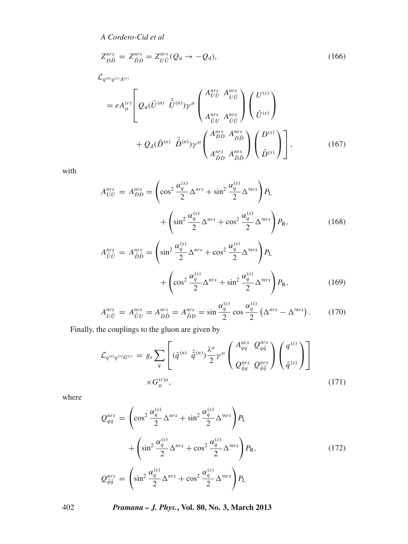$$
Z_{D\hat{D}}^{nrs} = Z_{\hat{D}D}^{nrs} = Z_{U\hat{U}}^{nrs} (Q_u \rightarrow -Q_d), \qquad (166)
$$

 $\mathcal{L}_q^{(n)} q^{(s)} A^{(r)}$ 

$$
=eA_{\mu}^{(r)}\left[Q_{\rm u}(\bar{U}^{(n)}\ \bar{\hat{U}}^{(n)})\gamma^{\mu}\begin{pmatrix}A_{UU}^{nrs} & A_{U\hat{U}}^{nrs} \\ A_{\hat{U}U}^{nrs} & A_{\hat{U}\hat{U}}^{nrs} \\ A_{\hat{U}U}^{nrs} & A_{\hat{U}\hat{U}}^{nrs} \end{pmatrix}\begin{pmatrix}U^{(s)} \\ \hat{U}^{(s)} \end{pmatrix} + Q_{\rm d}(\bar{D}^{(n)}\ \bar{\hat{D}}^{(n)})\gamma^{\mu}\begin{pmatrix}A_{DD}^{nrs} & A_{DD}^{nrs} \\ A_{\hat{D}D}^{nrs} & A_{\hat{D}\hat{D}}^{nrs} \\ A_{\hat{D}D}^{nrs} & A_{\hat{D}\hat{D}}^{nrs} \end{pmatrix}\begin{pmatrix}D^{(s)} \\ \hat{D}^{(s)} \end{pmatrix}\right],\tag{167}
$$

with

$$
A_{UU}^{nrs} = A_{DD}^{nrs} = \left(\cos^2 \frac{\alpha_q^{(s)}}{2} \Delta^{nrs} + \sin^2 \frac{\alpha_q^{(s)}}{2} \Delta^{mrs}\right) P_L
$$
  
+ 
$$
\left(\sin^2 \frac{\alpha_q^{(s)}}{2} \Delta^{nrs} + \cos^2 \frac{\alpha_q^{(s)}}{2} \Delta^{mrs}\right) P_R,
$$
(168)  

$$
A_{\hat{U}\hat{U}}^{nrs} = A_{\hat{D}\hat{D}}^{nrs} = \left(\sin^2 \frac{\alpha_q^{(s)}}{2} \Delta^{mrs} + \cos^2 \frac{\alpha_q^{(s)}}{2} \Delta^{mrs}\right) P_L
$$
  
+ 
$$
\left(\cos^2 \frac{\alpha_q^{(s)}}{2} \Delta^{nrs} + \sin^2 \frac{\alpha_q^{(s)}}{2} \Delta^{mrs}\right) P_R,
$$
(169)

$$
A_{U\hat{U}}^{nrs} = A_{\hat{U}U}^{nrs} = A_{\hat{D}\hat{D}}^{nrs} = A_{\hat{D}D}^{nrs} = \sin\frac{\alpha_q^{(s)}}{2}\cos\frac{\alpha_q^{(s)}}{2}\left(\Delta^{nrs} - \Delta^{mrs}\right). \tag{170}
$$

Finally, the couplings to the gluon are given by

$$
\mathcal{L}_{q^{(n)}q^{(s)}G^{(r)}} = g_s \sum_{q} \left[ (\bar{q}^{(n)} \ \bar{\hat{q}}^{(n)}) \frac{\lambda^a}{2} \gamma^\mu \left( \frac{A_{qq}^{nrs}}{Q_{\hat{q}q}^{nrs}} \frac{Q_{q\hat{q}}^{nrs}}{Q_{\hat{q}\hat{q}}^{nrs}} \right) \left( \frac{q^{(s)}}{\hat{q}^{(s)}} \right) \right]
$$
\n
$$
\times G_{\mu}^{(r)a}, \qquad (171)
$$

where

$$
Q_{qq}^{nrs} = \left(\cos^2 \frac{\alpha_q^{(s)}}{2} \Delta^{nrs} + \sin^2 \frac{\alpha_q^{(s)}}{2} \Delta^{mrs}\right) P_L
$$

$$
+ \left(\sin^2 \frac{\alpha_q^{(s)}}{2} \Delta^{nrs} + \cos^2 \frac{\alpha_q^{(s)}}{2} \Delta^{mrs}\right) P_R,
$$

$$
Q_{\hat{q}\hat{q}}^{nrs} = \left(\sin^2 \frac{\alpha_q^{(s)}}{2} \Delta^{nrs} + \cos^2 \frac{\alpha_q^{(s)}}{2} \Delta^{mrs}\right) P_L
$$

$$
(172)
$$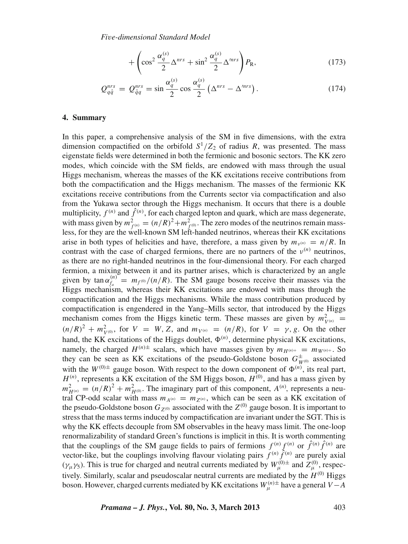$$
+\left(\cos^2\frac{\alpha_q^{(s)}}{2}\Delta^{nrs}+\sin^2\frac{\alpha_q^{(s)}}{2}\Delta^{mrs}\right)P_{\rm R},\tag{173}
$$

$$
Q_{q\hat{q}}^{nrs} = Q_{\hat{q}q}^{nrs} = \sin\frac{\alpha_q^{(s)}}{2} \cos\frac{\alpha_q^{(s)}}{2} \left(\Delta^{nrs} - \Delta^{mrs}\right). \tag{174}
$$

#### <span id="page-34-0"></span>**4. Summary**

In this paper, a comprehensive analysis of the SM in five dimensions, with the extra dimension compactified on the orbifold  $S^1/Z_2$  of radius *R*, was presented. The mass eigenstate fields were determined in both the fermionic and bosonic sectors. The KK zero modes, which coincide with the SM fields, are endowed with mass through the usual Higgs mechanism, whereas the masses of the KK excitations receive contributions from both the compactification and the Higgs mechanism. The masses of the fermionic KK excitations receive contributions from the Currents sector via compactification and also from the Yukawa sector through the Higgs mechanism. It occurs that there is a double multiplicity,  $f^{(n)}$  and  $\hat{f}^{(n)}$ , for each charged lepton and quark, which are mass degenerate, with mass given by  $m_{f^{(n)}}^2 = (n/R)^2 + m_{f^{(0)}}^2$ . The zero modes of the neutrinos remain massless, for they are the well-known SM left-handed neutrinos, whereas their KK excitations arise in both types of helicities and have, therefore, a mass given by  $m_{\nu^{(n)}} = n/R$ . In contrast with the case of charged fermions, there are no partners of the  $v^{(n)}$  neutrinos, as there are no right-handed neutrinos in the four-dimensional theory. For each charged fermion, a mixing between it and its partner arises, which is characterized by an angle given by  $\tan \alpha_{f_a}^{(n)} = m_{f^{(0)}}/(n/R)$ . The SM gauge bosons receive their masses via the Higgs mechanism, whereas their KK excitations are endowed with mass through the compactification and the Higgs mechanisms. While the mass contribution produced by compactification is engendered in the Yang–Mills sector, that introduced by the Higgs mechanism comes from the Higgs kinetic term. These masses are given by  $m_{V^{(n)}}^2 =$  $(n/R)^2 + m_{V^{(0)}}^2$ , for  $V = W, Z$ , and  $m_{V^{(n)}} = (n/R)$ , for  $V = \gamma, g$ . On the other hand, the KK excitations of the Higgs doublet,  $\Phi^{(n)}$ , determine physical KK excitations, namely, the charged  $H^{(n)\pm}$  scalars, which have masses given by  $m_{H^{(n)+}} = m_{W^{(n)+}}$ . So they can be seen as KK excitations of the pseudo-Goldstone boson  $G_{W^{(0)}}^{\pm}$  associated with the  $W^{(0)\pm}$  gauge boson. With respect to the down component of  $\Phi^{(n)}$ , its real part,  $H^{(n)}$ , represents a KK excitation of the SM Higgs boson,  $H^{(0)}$ , and has a mass given by  $m_{H^{(n)}}^2 = (n/R)^2 + m_{H^{(0)}}^2$ . The imaginary part of this component, *A*<sup>(*n*)</sup>, represents a neutral CP-odd scalar with mass  $m_{A^{(n)}} = m_{Z^{(n)}}$ , which can be seen as a KK excitation of the pseudo-Goldstone boson  $G_{Z^{(0)}}$  associated with the  $Z^{(0)}$  gauge boson. It is important to stress that the mass terms induced by compactification are invariant under the SGT. This is why the KK effects decouple from SM observables in the heavy mass limit. The one-loop renormalizability of standard Green's functions is implicit in this. It is worth commenting that the couplings of the SM gauge fields to pairs of fermions  $f^{(n)} f^{(n)}$  or  $\hat{f}^{(n)} \hat{f}^{(n)}$  are vector-like, but the couplings involving flavour violating pairs  $f^{(n)} \hat{f}^{(n)}$  are purely axial ( $\gamma_\mu \gamma_5$ ). This is true for charged and neutral currents mediated by  $W^{(0)\pm}_{\mu}$  and  $Z^{(0)}_{\mu}$ , respectively. Similarly, scalar and pseudoscalar neutral currents are mediated by the  $H^{(0)}$  Higgs boson. However, charged currents mediated by KK excitations  $W_{\mu}^{(n)}$ <sup>±</sup> have a general *V* − *A*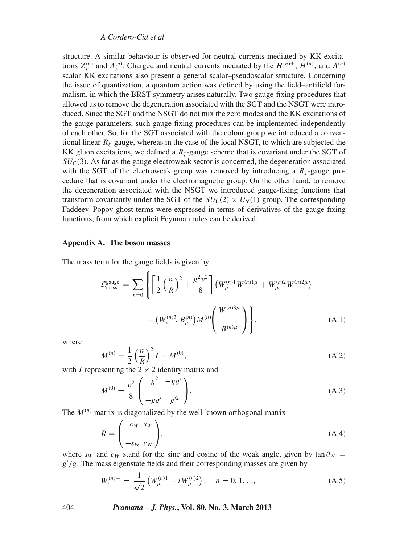structure. A similar behaviour is observed for neutral currents mediated by KK excitations  $Z_{\mu}^{(n)}$  and  $A_{\mu}^{(n)}$ . Charged and neutral currents mediated by the  $H^{(n)\pm}$ ,  $H^{(n)}$ , and  $A^{(n)}$ scalar KK excitations also present a general scalar–pseudoscalar structure. Concerning the issue of quantization, a quantum action was defined by using the field–antifield formalism, in which the BRST symmetry arises naturally. Two gauge-fixing procedures that allowed us to remove the degeneration associated with the SGT and the NSGT were introduced. Since the SGT and the NSGT do not mix the zero modes and the KK excitations of the gauge parameters, such gauge-fixing procedures can be implemented independently of each other. So, for the SGT associated with the colour group we introduced a conventional linear  $R_{\xi}$ -gauge, whereas in the case of the local NSGT, to which are subjected the KK gluon excitations, we defined a  $R_{\xi}$ -gauge scheme that is covariant under the SGT of  $SU<sub>C</sub>(3)$ . As far as the gauge electroweak sector is concerned, the degeneration associated with the SGT of the electroweak group was removed by introducing a  $R_{\xi}$ -gauge procedure that is covariant under the electromagnetic group. On the other hand, to remove the degeneration associated with the NSGT we introduced gauge-fixing functions that transform covariantly under the SGT of the  $SU_L(2) \times U_Y(1)$  group. The corresponding Faddeev–Popov ghost terms were expressed in terms of derivatives of the gauge-fixing functions, from which explicit Feynman rules can be derived.

#### <span id="page-35-0"></span>**Appendix A. The boson masses**

The mass term for the gauge fields is given by

$$
\mathcal{L}_{\text{mass}}^{\text{gauge}} = \sum_{n=0} \left\{ \left[ \frac{1}{2} \left( \frac{n}{R} \right)^2 + \frac{g^2 v^2}{8} \right] \left( W_{\mu}^{(n)1} W^{(n)1\mu} + W_{\mu}^{(n)2} W^{(n)2\mu} \right) \right. \\ \left. + \left( W_{\mu}^{(n)3}, B_{\mu}^{(n)} \right) M^{(n)} \left( \frac{W^{(n)3\mu}}{B^{(n)\mu}} \right) \right\}, \tag{A.1}
$$

where

$$
M^{(n)} = \frac{1}{2} \left(\frac{n}{R}\right)^2 I + M^{(0)},\tag{A.2}
$$

with *I* representing the  $2 \times 2$  identity matrix and

$$
M^{(0)} = \frac{v^2}{8} \begin{pmatrix} g^2 & -gg' \\ -gg' & g'^2 \end{pmatrix}.
$$
 (A.3)

The  $M^{(n)}$  matrix is diagonalized by the well-known orthogonal matrix

$$
R = \begin{pmatrix} c_W & s_W \\ -s_W & c_W \end{pmatrix},\tag{A.4}
$$

where  $s_W$  and  $c_W$  stand for the sine and cosine of the weak angle, given by tan  $\theta_W$  =  $g'/g$ . The mass eigenstate fields and their corresponding masses are given by

$$
W_{\mu}^{(n)+} = \frac{1}{\sqrt{2}} \left( W_{\mu}^{(n)1} - i W_{\mu}^{(n)2} \right), \quad n = 0, 1, ..., \tag{A.5}
$$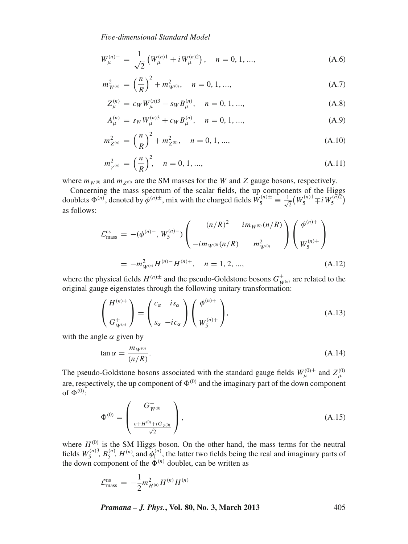$$
W_{\mu}^{(n)-} = \frac{1}{\sqrt{2}} \left( W_{\mu}^{(n)1} + i W_{\mu}^{(n)2} \right), \quad n = 0, 1, ..., \tag{A.6}
$$

$$
m_{W^{(n)}}^2 = \left(\frac{n}{R}\right)^2 + m_{W^{(0)}}^2, \quad n = 0, 1, ..., \tag{A.7}
$$

$$
Z_{\mu}^{(n)} = c_W W_{\mu}^{(n)3} - s_W B_{\mu}^{(n)}, \quad n = 0, 1, ..., \tag{A.8}
$$

$$
A_{\mu}^{(n)} = s_W W_{\mu}^{(n)3} + c_W B_{\mu}^{(n)}, \quad n = 0, 1, ..., \tag{A.9}
$$

$$
m_{Z^{(n)}}^2 = \left(\frac{n}{R}\right)^2 + m_{Z^{(0)}}^2, \quad n = 0, 1, ..., \tag{A.10}
$$

$$
m_{\gamma^{(n)}}^2 = \left(\frac{n}{R}\right)^2, \quad n = 0, 1, ..., \tag{A.11}
$$

where  $m_{W^{(0)}}$  and  $m_{Z^{(0)}}$  are the SM masses for the *W* and *Z* gauge bosons, respectively.

Concerning the mass spectrum of the scalar fields, the up components of the Higgs doublets  $\Phi^{(n)}$ , denoted by  $\phi^{(n)\pm}$ , mix with the charged fields  $W_5^{(n)\pm} \equiv \frac{1}{\sqrt{2\pi}}$  $\frac{1}{2}(W_5^{(n)1} \mp i W_5^{(n)2})$ as follows:

$$
\mathcal{L}_{\text{mass}}^{\text{cs}} = -(\phi^{(n)-}, W_5^{(n)-}) \begin{pmatrix} (n/R)^2 & i m_{W^{(0)}}(n/R) \\ -i m_{W^{(0)}}(n/R) & m_{W^{(0)}}^2 \end{pmatrix} \begin{pmatrix} \phi^{(n)+} \\ W_5^{(n)+} \end{pmatrix}
$$
  
=  $-m_{W^{(n)}}^2 H^{(n)-} H^{(n)+}, \quad n = 1, 2, ...,$  (A.12)

where the physical fields  $H^{(n)\pm}$  and the pseudo-Goldstone bosons  $G_{W^{(n)}}^{\pm}$  are related to the original gauge eigenstates through the following unitary transformation:

$$
\begin{pmatrix} H^{(n)+} \\ G^+_{W^{(n)}} \end{pmatrix} = \begin{pmatrix} c_{\alpha} & i s_{\alpha} \\ s_{\alpha} & -i c_{\alpha} \end{pmatrix} \begin{pmatrix} \phi^{(n)+} \\ W_5^{(n)+} \end{pmatrix},\tag{A.13}
$$

with the angle  $\alpha$  given by

$$
\tan \alpha = \frac{m_{W^{(0)}}}{(n/R)}.
$$
\n(A.14)

The pseudo-Goldstone bosons associated with the standard gauge fields  $W_{\mu}^{(0)\pm}$  and  $Z_{\mu}^{(0)}$ are, respectively, the up component of  $\Phi^{(0)}$  and the imaginary part of the down component of  $\Phi^{(0)}$ :

$$
\Phi^{(0)} = \begin{pmatrix} G_{W^{(0)}}^{+} \\ \frac{v + H^{(0)} + iG_{Z^{(0)}}}{\sqrt{2}} \end{pmatrix},
$$
\n(A.15)

where  $H^{(0)}$  is the SM Higgs boson. On the other hand, the mass terms for the neutral fields  $W_5^{(n)}$ ,  $B_5^{(n)}$ ,  $H^{(n)}$ , and  $\phi_1^{(n)}$ , the latter two fields being the real and imaginary parts of the down component of the  $\Phi^{(n)}$  doublet, can be written as

$$
\mathcal{L}_{\text{mass}}^{\text{ns}} = -\frac{1}{2} m_{H^{(n)}}^2 H^{(n)} H^{(n)}
$$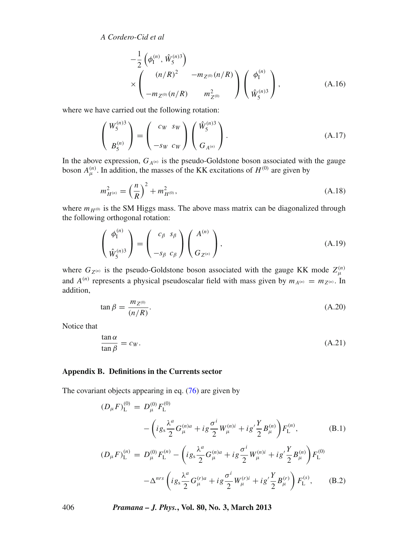$$
-\frac{1}{2}\left(\phi_{I}^{(n)},\hat{W}_{S}^{(n)3}\right) \times \left(\begin{array}{c} (n/R)^2 & -m_{Z^{(0)}}(n/R) \\ -m_{Z^{(0)}}(n/R) & m_{Z^{(0)}}^2 \end{array}\right) \left(\begin{array}{c} \phi_{I}^{(n)} \\ \hat{W}_{S}^{(n)3} \end{array}\right), \tag{A.16}
$$

where we have carried out the following rotation:

$$
\begin{pmatrix} W_5^{(n)3} \\ B_5^{(n)} \end{pmatrix} = \begin{pmatrix} c_W & s_W \\ -s_W & c_W \end{pmatrix} \begin{pmatrix} \hat{W}_5^{(n)3} \\ G_{A^{(n)}} \end{pmatrix}.
$$
 (A.17)

In the above expression,  $G_{A^{(n)}}$  is the pseudo-Goldstone boson associated with the gauge boson  $A_{\mu}^{(n)}$ . In addition, the masses of the KK excitations of  $H^{(0)}$  are given by

$$
m_{H^{(n)}}^2 = \left(\frac{n}{R}\right)^2 + m_{H^{(0)}}^2,\tag{A.18}
$$

where  $m_{H^{(0)}}$  is the SM Higgs mass. The above mass matrix can be diagonalized through the following orthogonal rotation:

$$
\begin{pmatrix} \phi_1^{(n)} \\ \hat{W}_5^{(n)3} \end{pmatrix} = \begin{pmatrix} c_\beta & s_\beta \\ -s_\beta & c_\beta \end{pmatrix} \begin{pmatrix} A^{(n)} \\ G_{Z^{(n)}} \end{pmatrix},
$$
\n(A.19)

where  $G_{Z^{(n)}}$  is the pseudo-Goldstone boson associated with the gauge KK mode  $Z_{\mu}^{(n)}$ and  $A^{(n)}$  represents a physical pseudoscalar field with mass given by  $m_{A^{(n)}} = m_{Z^{(n)}}$ . In addition,

$$
\tan \beta = \frac{m_{Z^{(0)}}}{(n/R)}.\tag{A.20}
$$

Notice that

$$
\frac{\tan \alpha}{\tan \beta} = c_W. \tag{A.21}
$$

#### <span id="page-37-0"></span>**Appendix B. Definitions in the Currents sector**

The covariant objects appearing in eq.  $(76)$  are given by

$$
(D_{\mu}F)^{(0)}_{\mathcal{L}} = D^{(0)}_{\mu}F^{(0)}_{\mathcal{L}}
$$
  

$$
- \left( i g_s \frac{\lambda^a}{2} G^{(n)a}_{\mu} + i g \frac{\sigma^i}{2} W^{(n)i}_{\mu} + i g' \frac{Y}{2} B^{(n)}_{\mu} \right) F^{(n)}_{\mathcal{L}}, \tag{B.1}
$$
  

$$
(D_{\mu}F)^{(n)}_{\mathcal{L}} = D^{(0)}_{\mu}F^{(n)}_{\mathcal{L}} - \left( i g_s \frac{\lambda^a}{2} G^{(n)a}_{\mu} + i g \frac{\sigma^i}{2} W^{(n)i}_{\mu} + i g' \frac{Y}{2} B^{(n)}_{\mu} \right) F^{(0)}_{\mathcal{L}}
$$

$$
e^{i\ell} \Sigma = \frac{\nu_\mu}{L} \left( i g_s \frac{\lambda^a}{2} G_\mu^{(r)a} + i g \frac{\sigma^i}{2} W_\mu^{(r)i} + i g' \frac{\gamma}{2} B_\mu^{(r)} \right) F_L^{(s)}.
$$
\n
$$
- \Delta^{nrs} \left( i g_s \frac{\lambda^a}{2} G_\mu^{(r)a} + i g \frac{\sigma^i}{2} W_\mu^{(r)i} + i g' \frac{\gamma}{2} B_\mu^{(r)} \right) F_L^{(s)}, \quad (B.2)
$$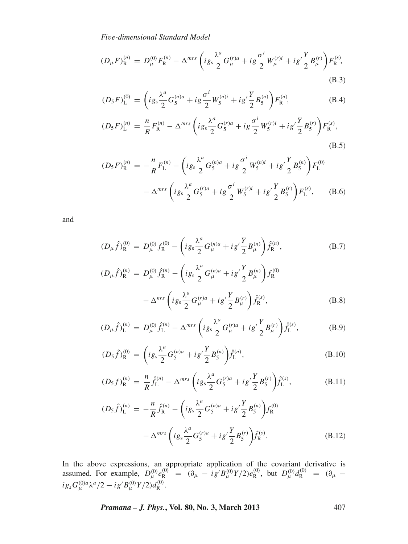$$
(D_{\mu}F)_{\mathcal{R}}^{(n)} = D_{\mu}^{(0)}F_{\mathcal{R}}^{(n)} - \Delta^{mrs} \left( i g_s \frac{\lambda^a}{2} G_{\mu}^{(r)a} + i g \frac{\sigma^i}{2} W_{\mu}^{(r)i} + i g' \frac{Y}{2} B_{\mu}^{(r)} \right) F_{\mathcal{R}}^{(s)},
$$
\n(B.3)

$$
(D_{5}F)^{(0)}_{\mathcal{L}} = \left( i g_{s} \frac{\lambda^{a}}{2} G_{5}^{(n)a} + i g \frac{\sigma^{i}}{2} W_{5}^{(n)i} + i g' \frac{Y}{2} B_{5}^{(n)} \right) F_{\mathcal{R}}^{(n)},
$$
(B.4)

$$
(D_5F)^{(n)}_{\rm L} = \frac{n}{R}F_{\rm R}^{(n)} - \Delta^{mrs} \left(ig_s \frac{\lambda^a}{2} G_5^{(r)a} + ig \frac{\sigma^i}{2} W_5^{(r)i} + ig' \frac{Y}{2} B_5^{(r)}\right) F_{\rm R}^{(s)},\tag{B.5}
$$

$$
(D_5F)_R^{(n)} = -\frac{n}{R}F_L^{(n)} - \left(ig_s\frac{\lambda^a}{2}G_5^{(n)a} + ig\frac{\sigma^i}{2}W_5^{(n)i} + ig'\frac{Y}{2}B_5^{(n)}\right)F_L^{(0)} - \Delta^{mrs}\left(ig_s\frac{\lambda^a}{2}G_5^{(r)a} + ig\frac{\sigma^i}{2}W_5^{(r)i} + ig'\frac{Y}{2}B_5^{(r)}\right)F_L^{(s)},
$$
(B.6)

and

$$
(D_{\mu}\hat{f})_{\mathbf{R}}^{(0)} = D_{\mu}^{(0)} f_{\mathbf{R}}^{(0)} - \left( i g_s \frac{\lambda^a}{2} G_{\mu}^{(n)a} + i g' \frac{Y}{2} B_{\mu}^{(n)} \right) \hat{f}_{\mathbf{R}}^{(n)},
$$
(B.7)  

$$
(D_{\mu}\hat{f})_{\mathbf{R}}^{(n)} = D_{\mu}^{(0)} \hat{f}_{\mathbf{R}}^{(n)} - \left( i g_s \frac{\lambda^a}{2} G_{\mu}^{(n)a} + i g' \frac{Y}{2} B_{\mu}^{(n)} \right) f_{\mathbf{R}}^{(0)}
$$

$$
- \Delta^{nrs} \left( i g_s \frac{\lambda^a}{2} G_{\mu}^{(r)a} + i g' \frac{Y}{2} B_{\mu}^{(r)} \right) \hat{f}_{\mathbf{R}}^{(s)},
$$
(B.8)

$$
(D_{\mu}\hat{f})_{\mathcal{L}}^{(n)} = D_{\mu}^{(0)}\hat{f}_{\mathcal{L}}^{(n)} - \Delta^{\prime nrs} \left( i g_s \frac{\lambda^a}{2} G_{\mu}^{(r)a} + i g' \frac{Y}{2} B_{\mu}^{(r)} \right) \hat{f}_{\mathcal{L}}^{(s)}, \tag{B.9}
$$

$$
(D_5 \hat{f})_R^{(0)} = \left( i g_s \frac{\lambda^a}{2} G_5^{(n)a} + i g' \frac{Y}{2} B_5^{(n)} \right) \hat{f}_L^{(n)},
$$
(B.10)

$$
(D_5 f)_R^{(n)} = \frac{n}{R} \hat{f}_L^{(n)} - \Delta^{mrs} \left( i g_s \frac{\lambda^a}{2} G_5^{(r)a} + i g' \frac{Y}{2} B_5^{(r)} \right) \hat{f}_L^{(s)}, \tag{B.11}
$$

$$
(D_5 \hat{f})_{\text{L}}^{(n)} = -\frac{n}{R} \hat{f}_{\text{R}}^{(n)} - \left( i g_s \frac{\lambda^a}{2} G_5^{(n)a} + i g' \frac{Y}{2} B_5^{(n)} \right) f_{\text{R}}^{(0)}
$$

$$
- \Delta^{mrs} \left( i g_s \frac{\lambda^a}{2} G_5^{(r)a} + i g' \frac{Y}{2} B_5^{(r)} \right) \hat{f}_{\text{R}}^{(s)}.
$$
(B.12)

In the above expressions, an appropriate application of the covariant derivative is assumed. For example,  $D_{\mu}^{(0)} e_{\mathsf{R}}^{(0)} = (\partial_{\mu} - ig' B_{\mu}^{(0)} Y/2) e_{\mathsf{R}}^{(0)}$ , but  $D_{\mu}^{(0)} d_{\mathsf{R}}^{(0)} = (\partial_{\mu} - ig' B_{\mu}^{(0)} Y/2) e_{\mathsf{R}}^{(0)}$  $ig_sG^{(0)a}_\mu\lambda^a/2 -ig'B^{(0)}_\mu Y/2)d^{(0)}_{\rm R}.$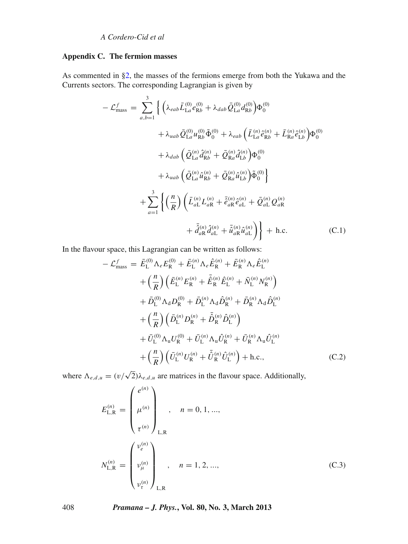# <span id="page-39-0"></span>**Appendix C. The fermion masses**

As commented in [§2,](#page-2-0) the masses of the fermions emerge from both the Yukawa and the Currents sectors. The corresponding Lagrangian is given by

$$
-\mathcal{L}_{\text{mass}}^{f} = \sum_{a,b=1}^{3} \left\{ \left( \lambda_{eab} \bar{L}_{La}^{(0)} e_{Rb}^{(0)} + \lambda_{dab} \bar{Q}_{La}^{(0)} d_{Rb}^{(0)} \right) \Phi_{0}^{(0)} \right.\n+ \lambda_{uab} \bar{Q}_{La}^{(0)} u_{Rb}^{(0)} \tilde{\Phi}_{0}^{(0)} + \lambda_{eab} \left( \bar{L}_{La}^{(n)} \hat{e}_{Rb}^{(n)} + \bar{L}_{Ra}^{(n)} \hat{e}_{Lb}^{(n)} \right) \Phi_{0}^{(0)} \right.\n+ \lambda_{dab} \left( \bar{Q}_{La}^{(n)} \hat{d}_{Rb}^{(n)} + \bar{Q}_{Ra}^{(n)} \hat{d}_{Lb}^{(n)} \right) \Phi_{0}^{(0)} \right.\n+ \lambda_{uab} \left( \bar{Q}_{La}^{(n)} \hat{u}_{Rb}^{(n)} + \bar{Q}_{Ra}^{(n)} \hat{u}_{Lb}^{(n)} \right) \tilde{\Phi}_{0}^{(0)} \right\.\n+ \sum_{a=1}^{3} \left\{ \left( \frac{n}{R} \right) \left( \bar{L}_{aL}^{(n)} L_{aR}^{(n)} + \bar{\hat{e}}_{aR}^{(n)} \hat{e}_{aL}^{(n)} + \bar{Q}_{aL}^{(n)} Q_{aR}^{(n)} \right.\n+ \bar{\hat{d}}_{aR}^{(n)} \hat{d}_{aL}^{(n)} + \bar{\hat{u}}_{aR}^{(n)} \hat{u}_{aL}^{(n)} \right) \right\} + \text{ h.c.} \quad (C.1)
$$

In the flavour space, this Lagrangian can be written as follows:

$$
-\mathcal{L}_{\text{mass}}^{f} = \bar{E}_{\text{L}}^{(0)} \Lambda_{e} E_{\text{R}}^{(0)} + \bar{E}_{\text{L}}^{(n)} \Lambda_{e} \hat{E}_{\text{R}}^{(n)} + \bar{E}_{\text{R}}^{(n)} \Lambda_{e} \hat{E}_{\text{L}}^{(n)}
$$

$$
+ \left(\frac{n}{R}\right) \left(\bar{E}_{\text{L}}^{(n)} E_{\text{R}}^{(n)} + \bar{\hat{E}}_{\text{R}}^{(n)} \hat{E}_{\text{L}}^{(n)} + \bar{N}_{\text{L}}^{(n)} N_{\text{R}}^{(n)}\right)
$$

$$
+ \bar{D}_{\text{L}}^{(0)} \Lambda_{d} D_{\text{R}}^{(0)} + \bar{D}_{\text{L}}^{(n)} \Lambda_{d} \hat{D}_{\text{R}}^{(n)} + \bar{D}_{\text{R}}^{(n)} \Lambda_{d} \hat{D}_{\text{L}}^{(n)}
$$

$$
+ \left(\frac{n}{R}\right) \left(\bar{D}_{\text{L}}^{(n)} D_{\text{R}}^{(n)} + \bar{\hat{D}}_{\text{R}}^{(n)} \hat{D}_{\text{L}}^{(n)}\right)
$$

$$
+ \bar{U}_{\text{L}}^{(0)} \Lambda_{u} U_{\text{R}}^{(0)} + \bar{U}_{\text{L}}^{(n)} \Lambda_{u} \hat{U}_{\text{R}}^{(n)} + \bar{U}_{\text{R}}^{(n)} \Lambda_{u} \hat{U}_{\text{L}}^{(n)}
$$

$$
+ \left(\frac{n}{R}\right) \left(\bar{U}_{\text{L}}^{(n)} U_{\text{R}}^{(n)} + \bar{\hat{U}}_{\text{R}}^{(n)} \hat{U}_{\text{L}}^{(n)}\right) + \text{h.c.,}
$$
(C.2)

where  $\Lambda_{e,d,u} = (v/\sqrt{2})\lambda_{e,d,u}$  are matrices in the flavour space. Additionally,

$$
E_{\text{L,R}}^{(n)} = \begin{pmatrix} e^{(n)} \\ \mu^{(n)} \\ \tau^{(n)} \end{pmatrix}_{\text{L,R}}, \quad n = 0, 1, ...,
$$
  

$$
N_{\text{L,R}}^{(n)} = \begin{pmatrix} v_e^{(n)} \\ v_\mu^{(n)} \\ \mu^{(n)} \\ \nu_\tau^{(n)} \end{pmatrix}_{\text{L,R}}, \quad n = 1, 2, ...,
$$
 (C.3)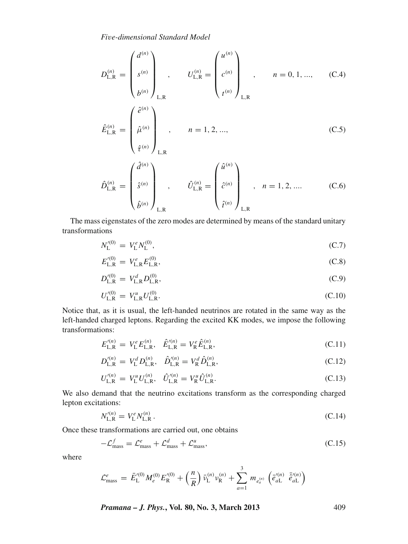$$
D_{\text{L,R}}^{(n)} = \begin{pmatrix} d^{(n)} \\ s^{(n)} \\ \vdots \\ b^{(n)} \end{pmatrix}_{\text{L,R}} , \qquad U_{\text{L,R}}^{(n)} = \begin{pmatrix} u^{(n)} \\ c^{(n)} \\ \vdots \\ t^{(n)} \end{pmatrix}_{\text{L,R}} , \qquad n = 0, 1, ..., \qquad \text{(C.4)}
$$
  

$$
\hat{E}_{\text{L,R}}^{(n)} = \begin{pmatrix} \hat{e}^{(n)} \\ \hat{\mu}^{(n)} \\ \vdots \\ \hat{\tau}^{(n)} \end{pmatrix}_{\text{L,R}} , \qquad n = 1, 2, ..., \qquad \qquad \text{(C.5)}
$$
  

$$
\hat{D}_{\text{L,R}}^{(n)} = \begin{pmatrix} \hat{d}^{(n)} \\ \hat{s}^{(n)} \\ \vdots \\ \hat{b}^{(n)} \end{pmatrix}_{\text{L,R}} , \qquad \hat{U}_{\text{L,R}}^{(n)} = \begin{pmatrix} \hat{u}^{(n)} \\ \hat{c}^{(n)} \\ \vdots \\ \hat{t}^{(n)} \end{pmatrix}_{\text{L,R}} , \qquad n = 1, 2, ... \qquad \qquad \text{(C.6)}
$$

The mass eigenstates of the zero modes are determined by means of the standard unitary transformations

$$
N_{\rm L}^{\prime (0)} = V_{\rm L}^e N_{\rm L}^{(0)},\tag{C.7}
$$

$$
E_{\text{L,R}}^{\prime(0)} = V_{\text{L,R}}^e E_{\text{L,R}}^{(0)}, \tag{C.8}
$$

$$
D_{\text{L,R}}^{\prime(0)} = V_{\text{L,R}}^d D_{\text{L,R}}^{(0)},\tag{C.9}
$$

$$
U_{\text{L,R}}^{\prime(0)} = V_{\text{L,R}}^u U_{\text{L,R}}^{(0)}.
$$
\n(C.10)

Notice that, as it is usual, the left-handed neutrinos are rotated in the same way as the left-handed charged leptons. Regarding the excited KK modes, we impose the following transformations:

$$
E_{\text{L,R}}^{\prime (n)} = V_{\text{L}}^e E_{\text{L,R}}^{(n)}, \quad \hat{E}_{\text{L,R}}^{\prime (n)} = V_{\text{R}}^e \hat{E}_{\text{L,R}}^{(n)}, \tag{C.11}
$$

$$
D_{\text{L,R}}^{\prime (n)} = V_{\text{L}}^d D_{\text{L,R}}^{(n)}, \quad \hat{D}_{\text{L,R}}^{\prime (n)} = V_{\text{R}}^d \hat{D}_{\text{L,R}}^{(n)}, \tag{C.12}
$$

$$
U_{\text{L,R}}^{\prime(n)} = V_{\text{L}}^{u} U_{\text{L,R}}^{\prime(n)}, \quad \hat{U}_{\text{L,R}}^{\prime(n)} = V_{\text{R}}^{u} \hat{U}_{\text{L,R}}^{\prime(n)}.
$$
\n(C.13)

We also demand that the neutrino excitations transform as the corresponding charged lepton excitations:

<span id="page-40-0"></span>
$$
N_{\text{L,R}}^{\prime(n)} = V_{\text{L}}^e N_{\text{L,R}}^{(n)} \,. \tag{C.14}
$$

Once these transformations are carried out, one obtains

$$
-\mathcal{L}_{\text{mass}}^f = \mathcal{L}_{\text{mass}}^e + \mathcal{L}_{\text{mass}}^d + \mathcal{L}_{\text{mass}}^u,\tag{C.15}
$$

where

$$
\mathcal{L}_{\text{mass}}^e = \bar{E}_{\text{L}}^{\prime(0)} M_e^{(0)} E_{\text{R}}^{\prime(0)} + \left(\frac{n}{R}\right) \bar{\nu}_{\text{L}}^{(n)} \nu_{\text{R}}^{(n)} + \sum_{a=1}^3 m_{e_a^{(n)}} \left(\bar{e}_{a\text{L}}^{\prime(n)} \ \bar{\hat{e}}_{a\text{L}}^{\prime(n)}\right)
$$

*Pramana – J. Phys.***, Vol. 80, No. 3, March 2013** 409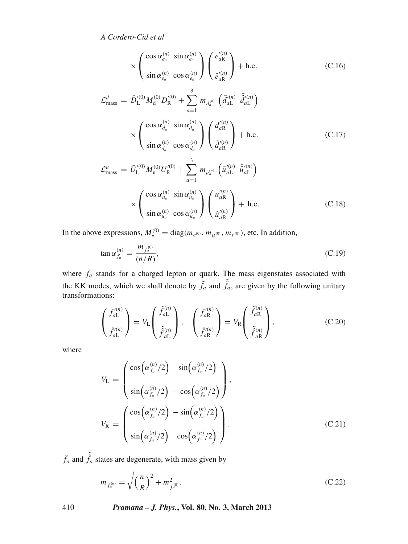$$
\times \left( \begin{array}{cc} \cos \alpha_{e_a}^{(n)} & \sin \alpha_{e_a}^{(n)} \\ \sin \alpha_{e_a}^{(n)} & \cos \alpha_{e_a}^{(n)} \end{array} \right) \left( \begin{array}{c} e'_a^{(n)} \\ e'_a^{(n)} \end{array} \right) + \text{h.c.} \tag{C.16}
$$
\n
$$
\mathcal{L}_{\text{mass}}^d = \bar{D}_{\text{L}}^{'(0)} M_{\text{d}}^{(0)} D_{\text{R}}^{'(0)} + \sum_{a=1}^3 m_{d_a^{(n)}} \left( \bar{d}_{a\text{L}}^{'(n)} \bar{\tilde{d}}_{a\text{L}}^{'(n)} \right)
$$
\n
$$
\times \left( \begin{array}{c} \cos \alpha_{d_a}^{(n)} & \sin \alpha_{d_a}^{(n)} \\ \sin \alpha_{d_a}^{(n)} & \cos \alpha_{d_a}^{(n)} \end{array} \right) \left( \begin{array}{c} d_a^{(n)} \\ \hat{d}_a^{(n)} \end{array} \right) + \text{h.c.} \tag{C.17}
$$
\n
$$
\mathcal{L}_{\text{mass}}^u = \bar{U}_{\text{L}}^{'(0)} M_{\text{u}}^{(0)} U_{\text{R}}^{'(0)} + \sum_{a=1}^3 m_{u_a^{(n)}} \left( \bar{u}_{a\text{L}}^{'(n)} \bar{\tilde{u}}_{a\text{L}}^{'(n)} \right)
$$
\n
$$
\times \left( \begin{array}{c} \cos \alpha_{u_a}^{(n)} & \sin \alpha_{u_a}^{(n)} \\ \sin \alpha_{u_a}^{(n)} & \cos \alpha_{u_a}^{(n)} \end{array} \right) \left( \begin{array}{c} u_a^{(n)} \\ u_a^{(n)} \end{array} \right) + \text{h.c.} \tag{C.18}
$$

In the above expressions,  $M_e^{(0)} = \text{diag}(m_{e^{(0)}}, m_{\mu^{(0)}}, m_{\tau^{(0)}})$ , etc. In addition,

$$
\tan \alpha_{f_a}^{(n)} = \frac{m_{f_a^{(0)}}}{(n/R)},\tag{C.19}
$$

where  $f_a$  stands for a charged lepton or quark. The mass eigenstates associated with the KK modes, which we shall denote by  $\tilde{f}_a$  and  $\tilde{\hat{f}}_a$ , are given by the following unitary transformations:

$$
\begin{pmatrix} f_{a\mathcal{L}}^{\prime(n)} \\ \hat{f}_{a\mathcal{L}}^{\prime(n)} \end{pmatrix} = V_{\mathcal{L}} \begin{pmatrix} \tilde{f}_{a\mathcal{L}}^{(n)} \\ \tilde{f}_{a\mathcal{L}}^{(n)} \end{pmatrix}, \quad \begin{pmatrix} f_{a\mathcal{R}}^{\prime(n)} \\ \hat{f}_{a\mathcal{R}}^{\prime(n)} \end{pmatrix} = V_{\mathcal{R}} \begin{pmatrix} \tilde{f}_{a\mathcal{R}}^{(n)} \\ \tilde{f}_{a\mathcal{R}}^{(n)} \end{pmatrix}, \tag{C.20}
$$

where

$$
V_{\rm L} = \begin{pmatrix} \cos(\alpha_{f_a}^{(n)}/2) & \sin(\alpha_{f_a}^{(n)}/2) \\ \sin(\alpha_{f_a}^{(n)}/2) & -\cos(\alpha_{f_a}^{(n)}/2) \end{pmatrix},
$$
  

$$
V_{\rm R} = \begin{pmatrix} \cos(\alpha_{f_a}^{(n)}/2) & -\sin(\alpha_{f_a}^{(n)}/2) \\ \sin(\alpha_{f_a}^{(n)}/2) & \cos(\alpha_{f_a}^{(n)}/2) \end{pmatrix}.
$$
(C.21)

 $\tilde{f}_a$  and  $\tilde{\hat{f}}_a$  states are degenerate, with mass given by

$$
m_{f_a^{(n)}} = \sqrt{\left(\frac{n}{R}\right)^2 + m_{f_a^{(0)}}^2}.
$$
\n(C.22)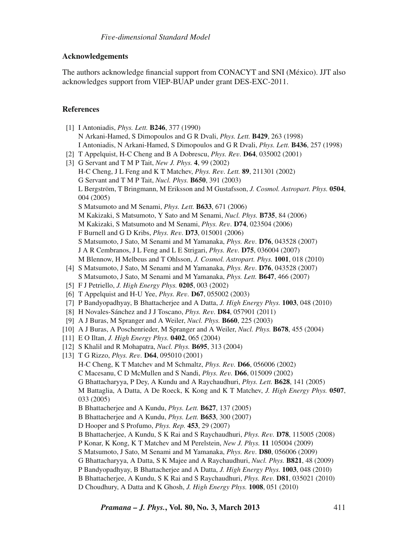# **Acknowledgements**

The authors acknowledge financial support from CONACYT and SNI (México). JJT also acknowledges support from VIEP-BUAP under grant DES-EXC-2011.

# **References**

<span id="page-42-10"></span><span id="page-42-9"></span><span id="page-42-8"></span><span id="page-42-7"></span><span id="page-42-6"></span><span id="page-42-5"></span><span id="page-42-4"></span><span id="page-42-3"></span><span id="page-42-2"></span><span id="page-42-1"></span><span id="page-42-0"></span>[1] I Antoniadis, *Phys. Lett.* **B246**, 377 (1990) N Arkani-Hamed, S Dimopoulos and G R Dvali, *Phys. Lett.* **B429**, 263 (1998) I Antoniadis, N Arkani-Hamed, S Dimopoulos and G R Dvali, *Phys. Lett.* **B436**, 257 (1998) [2] T Appelquist, H-C Cheng and B A Dobrescu, *Phys. Re*v*.* **D64**, 035002 (2001) [3] G Servant and T M P Tait, *New J. Phys.* **4**, 99 (2002) H-C Cheng, J L Feng and K T Matchev, *Phys. Re*v*. Lett.* **89**, 211301 (2002) G Servant and T M P Tait, *Nucl. Phys.* **B650**, 391 (2003) L Bergström, T Bringmann, M Eriksson and M Gustafsson, *J. Cosmol. Astropart. Phys.* **0504**, 004 (2005) S Matsumoto and M Senami, *Phys. Lett.* **B633**, 671 (2006) M Kakizaki, S Matsumoto, Y Sato and M Senami, *Nucl. Phys.* **B735**, 84 (2006) M Kakizaki, S Matsumoto and M Senami, *Phys. Re*v*.* **D74**, 023504 (2006) F Burnell and G D Kribs, *Phys. Re*v*.* **D73**, 015001 (2006) S Matsumoto, J Sato, M Senami and M Yamanaka, *Phys. Re*v*.* **D76**, 043528 (2007) J A R Cembranos, J L Feng and L E Strigari, *Phys. Re*v*.* **D75**, 036004 (2007) M Blennow, H Melbeus and T Ohlsson, *J. Cosmol. Astropart. Phys.* **1001**, 018 (2010) [4] S Matsumoto, J Sato, M Senami and M Yamanaka, *Phys. Re*v*.* **D76**, 043528 (2007) S Matsumoto, J Sato, M Senami and M Yamanaka, *Phys. Lett.* **B647**, 466 (2007) [5] F J Petriello, *J. High Energy Phys.* **0205**, 003 (2002) [6] T Appelquist and H-U Yee, *Phys. Re*v*.* **D67**, 055002 (2003) [7] P Bandyopadhyay, B Bhattacherjee and A Datta, *J. High Energy Phys.* **1003**, 048 (2010) [8] H Novales-Sánchez and J J Toscano, *Phys. Re*v*.* **D84**, 057901 (2011) [9] A J Buras, M Spranger and A Weiler, *Nucl. Phys.* **B660**, 225 (2003) [10] A J Buras, A Poschenrieder, M Spranger and A Weiler, *Nucl. Phys.* **B678**, 455 (2004) [11] E O Iltan, *J. High Energy Phys.* **0402**, 065 (2004) [12] S Khalil and R Mohapatra, *Nucl. Phys.* **B695**, 313 (2004) [13] T G Rizzo, *Phys. Re*v*.* **D64**, 095010 (2001) H-C Cheng, K T Matchev and M Schmaltz, *Phys. Re*v*.* **D66**, 056006 (2002) C Macesanu, C D McMullen and S Nandi, *Phys. Re*v*.* **D66**, 015009 (2002) G Bhattacharyya, P Dey, A Kundu and A Raychaudhuri, *Phys. Lett.* **B628**, 141 (2005) M Battaglia, A Datta, A De Roeck, K Kong and K T Matchev, *J. High Energy Phys.* **0507**, 033 (2005) B Bhattacherjee and A Kundu, *Phys. Lett.* **B627**, 137 (2005) B Bhattacherjee and A Kundu, *Phys. Lett.* **B653**, 300 (2007) D Hooper and S Profumo, *Phys. Rep.* **453**, 29 (2007) B Bhattacherjee, A Kundu, S K Rai and S Raychaudhuri, *Phys. Re*v*.* **D78**, 115005 (2008) P Konar, K Kong, K T Matchev and M Perelstein, *New J. Phys.* **11** 105004 (2009) S Matsumoto, J Sato, M Senami and M Yamanaka, *Phys. Re*v*.* **D80**, 056006 (2009) G Bhattacharyya, A Datta, S K Majee and A Raychaudhuri, *Nucl. Phys.* **B821**, 48 (2009) P Bandyopadhyay, B Bhattacherjee and A Datta, *J. High Energy Phys.* **1003**, 048 (2010) B Bhattacherjee, A Kundu, S K Rai and S Raychaudhuri, *Phys. Re*v*.* **D81**, 035021 (2010) D Choudhury, A Datta and K Ghosh, *J. High Energy Phys.* **1008**, 051 (2010)